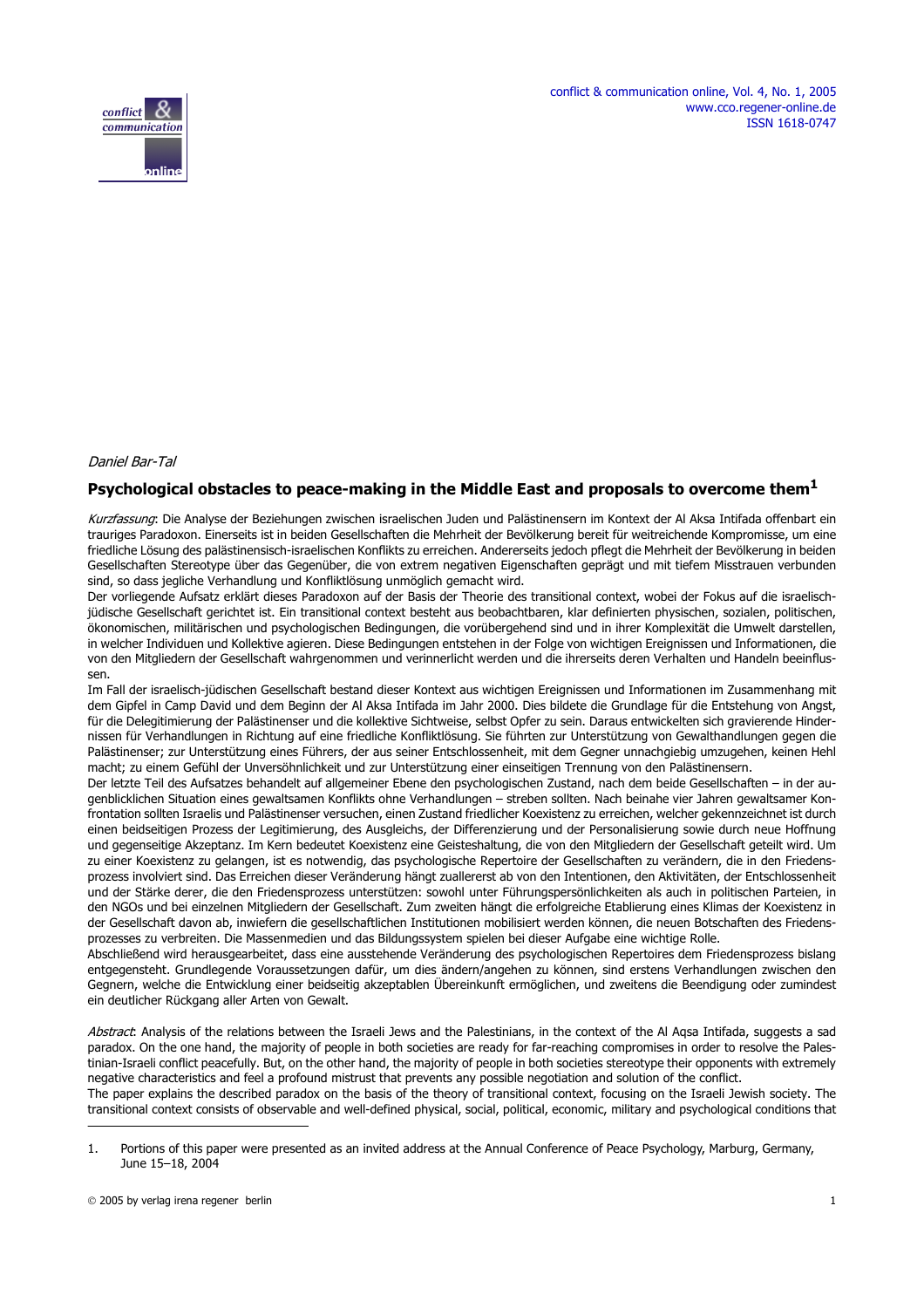

### Daniel Bar-Tal

### **Psychological obstacles to peace-making in the Middle East and proposals to overcome them1**

Kurzfassung: Die Analyse der Beziehungen zwischen israelischen Juden und Palästinensern im Kontext der Al Aksa Intifada offenbart ein trauriges Paradoxon. Einerseits ist in beiden Gesellschaften die Mehrheit der Bevölkerung bereit für weitreichende Kompromisse, um eine friedliche Lösung des palästinensisch-israelischen Konflikts zu erreichen. Andererseits jedoch pflegt die Mehrheit der Bevölkerung in beiden Gesellschaften Stereotype über das Gegenüber, die von extrem negativen Eigenschaften geprägt und mit tiefem Misstrauen verbunden sind, so dass jegliche Verhandlung und Konfliktlösung unmöglich gemacht wird.

Der vorliegende Aufsatz erklärt dieses Paradoxon auf der Basis der Theorie des transitional context, wobei der Fokus auf die israelischjüdische Gesellschaft gerichtet ist. Ein transitional context besteht aus beobachtbaren, klar definierten physischen, sozialen, politischen, ökonomischen, militärischen und psychologischen Bedingungen, die vorübergehend sind und in ihrer Komplexität die Umwelt darstellen, in welcher Individuen und Kollektive agieren. Diese Bedingungen entstehen in der Folge von wichtigen Ereignissen und Informationen, die von den Mitgliedern der Gesellschaft wahrgenommen und verinnerlicht werden und die ihrerseits deren Verhalten und Handeln beeinflussen.

Im Fall der israelisch-jüdischen Gesellschaft bestand dieser Kontext aus wichtigen Ereignissen und Informationen im Zusammenhang mit dem Gipfel in Camp David und dem Beginn der Al Aksa Intifada im Jahr 2000. Dies bildete die Grundlage für die Entstehung von Angst, für die Delegitimierung der Palästinenser und die kollektive Sichtweise, selbst Opfer zu sein. Daraus entwickelten sich gravierende Hindernissen für Verhandlungen in Richtung auf eine friedliche Konfliktlösung. Sie führten zur Unterstützung von Gewalthandlungen gegen die Palästinenser; zur Unterstützung eines Führers, der aus seiner Entschlossenheit, mit dem Gegner unnachgiebig umzugehen, keinen Hehl macht; zu einem Gefühl der Unversöhnlichkeit und zur Unterstützung einer einseitigen Trennung von den Palästinensern.

Der letzte Teil des Aufsatzes behandelt auf allgemeiner Ebene den psychologischen Zustand, nach dem beide Gesellschaften – in der augenblicklichen Situation eines gewaltsamen Konflikts ohne Verhandlungen – streben sollten. Nach beinahe vier Jahren gewaltsamer Konfrontation sollten Israelis und Palästinenser versuchen, einen Zustand friedlicher Koexistenz zu erreichen, welcher gekennzeichnet ist durch einen beidseitigen Prozess der Legitimierung, des Ausgleichs, der Differenzierung und der Personalisierung sowie durch neue Hoffnung und gegenseitige Akzeptanz. Im Kern bedeutet Koexistenz eine Geisteshaltung, die von den Mitgliedern der Gesellschaft geteilt wird. Um zu einer Koexistenz zu gelangen, ist es notwendig, das psychologische Repertoire der Gesellschaften zu verändern, die in den Friedensprozess involviert sind. Das Erreichen dieser Veränderung hängt zuallererst ab von den Intentionen, den Aktivitäten, der Entschlossenheit und der Stärke derer, die den Friedensprozess unterstützen: sowohl unter Führungspersönlichkeiten als auch in politischen Parteien, in den NGOs und bei einzelnen Mitgliedern der Gesellschaft. Zum zweiten hängt die erfolgreiche Etablierung eines Klimas der Koexistenz in der Gesellschaft davon ab, inwiefern die gesellschaftlichen Institutionen mobilisiert werden können, die neuen Botschaften des Friedensprozesses zu verbreiten. Die Massenmedien und das Bildungssystem spielen bei dieser Aufgabe eine wichtige Rolle.

Abschließend wird herausgearbeitet, dass eine ausstehende Veränderung des psychologischen Repertoires dem Friedensprozess bislang entgegensteht. Grundlegende Voraussetzungen dafür, um dies ändern/angehen zu können, sind erstens Verhandlungen zwischen den Gegnern, welche die Entwicklung einer beidseitig akzeptablen Übereinkunft ermöglichen, und zweitens die Beendigung oder zumindest ein deutlicher Rückgang aller Arten von Gewalt.

Abstract: Analysis of the relations between the Israeli Jews and the Palestinians, in the context of the Al Aqsa Intifada, suggests a sad paradox. On the one hand, the majority of people in both societies are ready for far-reaching compromises in order to resolve the Palestinian-Israeli conflict peacefully. But, on the other hand, the majority of people in both societies stereotype their opponents with extremely negative characteristics and feel a profound mistrust that prevents any possible negotiation and solution of the conflict. The paper explains the described paradox on the basis of the theory of transitional context, focusing on the Israeli Jewish society. The

transitional context consists of observable and well-defined physical, social, political, economic, military and psychological conditions that

<sup>1.</sup> Portions of this paper were presented as an invited address at the Annual Conference of Peace Psychology, Marburg, Germany, June 15–18, 2004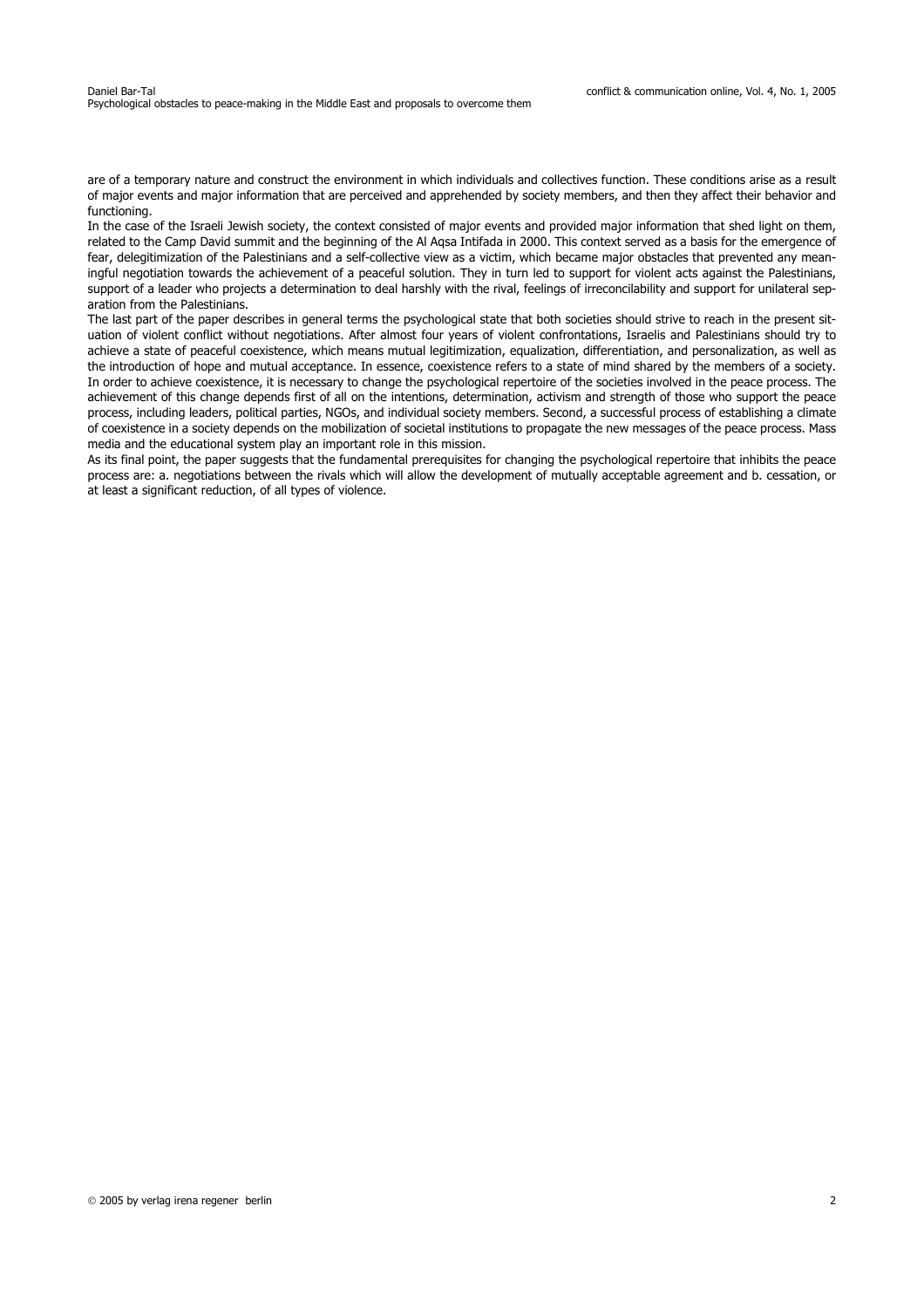are of a temporary nature and construct the environment in which individuals and collectives function. These conditions arise as a result of major events and major information that are perceived and apprehended by society members, and then they affect their behavior and functioning.

In the case of the Israeli Jewish society, the context consisted of major events and provided major information that shed light on them, related to the Camp David summit and the beginning of the Al Aqsa Intifada in 2000. This context served as a basis for the emergence of fear, delegitimization of the Palestinians and a self-collective view as a victim, which became major obstacles that prevented any meaningful negotiation towards the achievement of a peaceful solution. They in turn led to support for violent acts against the Palestinians, support of a leader who projects a determination to deal harshly with the rival, feelings of irreconcilability and support for unilateral separation from the Palestinians.

The last part of the paper describes in general terms the psychological state that both societies should strive to reach in the present situation of violent conflict without negotiations. After almost four years of violent confrontations, Israelis and Palestinians should try to achieve a state of peaceful coexistence, which means mutual legitimization, equalization, differentiation, and personalization, as well as the introduction of hope and mutual acceptance. In essence, coexistence refers to a state of mind shared by the members of a society. In order to achieve coexistence, it is necessary to change the psychological repertoire of the societies involved in the peace process. The achievement of this change depends first of all on the intentions, determination, activism and strength of those who support the peace process, including leaders, political parties, NGOs, and individual society members. Second, a successful process of establishing a climate of coexistence in a society depends on the mobilization of societal institutions to propagate the new messages of the peace process. Mass media and the educational system play an important role in this mission.

As its final point, the paper suggests that the fundamental prerequisites for changing the psychological repertoire that inhibits the peace process are: a. negotiations between the rivals which will allow the development of mutually acceptable agreement and b. cessation, or at least a significant reduction, of all types of violence.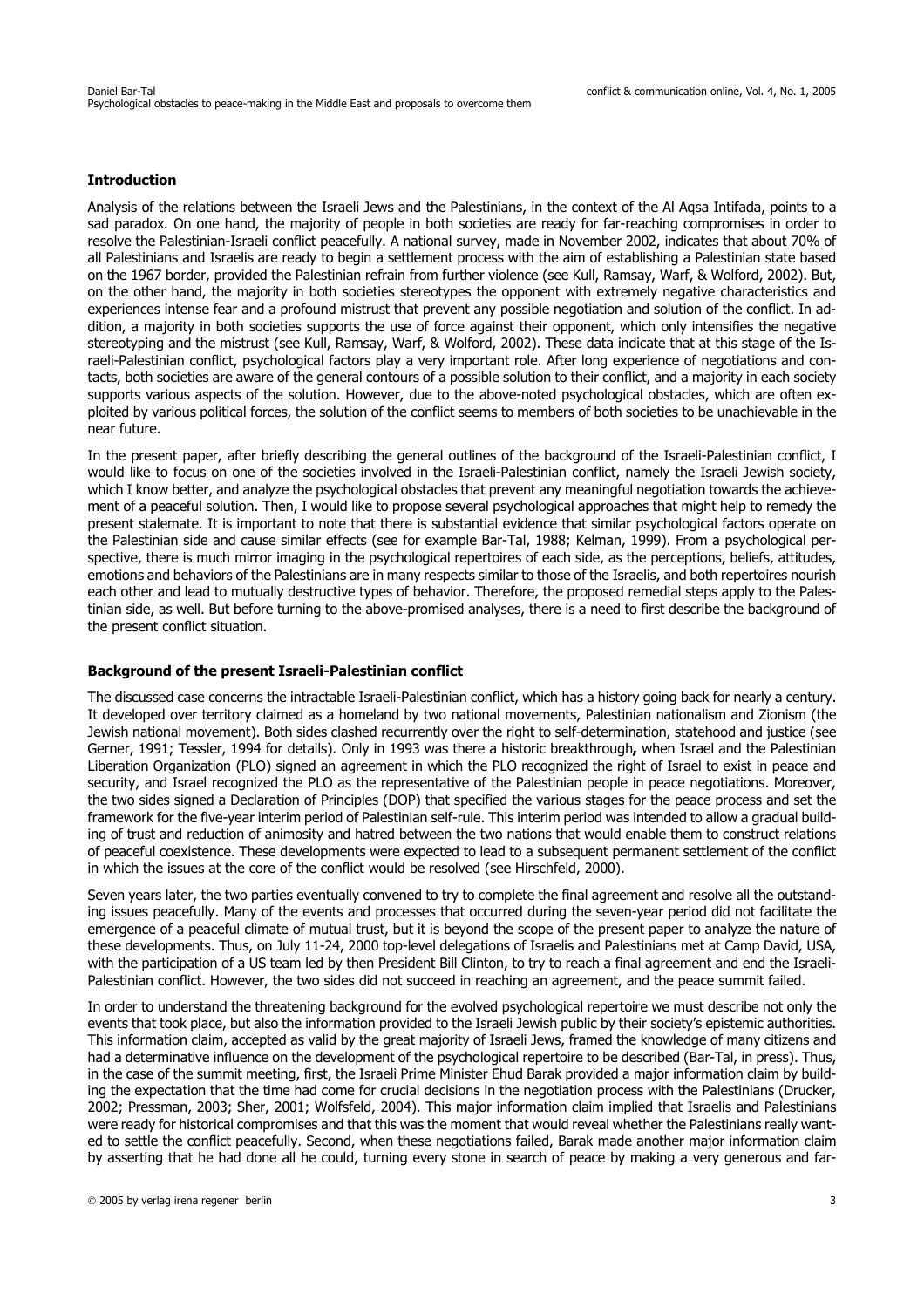### **Introduction**

Analysis of the relations between the Israeli Jews and the Palestinians, in the context of the Al Aqsa Intifada, points to a sad paradox. On one hand, the majority of people in both societies are ready for far-reaching compromises in order to resolve the Palestinian-Israeli conflict peacefully. A national survey, made in November 2002, indicates that about 70% of all Palestinians and Israelis are ready to begin a settlement process with the aim of establishing a Palestinian state based on the 1967 border, provided the Palestinian refrain from further violence (see Kull, Ramsay, Warf, & Wolford, 2002). But, on the other hand, the majority in both societies stereotypes the opponent with extremely negative characteristics and experiences intense fear and a profound mistrust that prevent any possible negotiation and solution of the conflict. In addition, a majority in both societies supports the use of force against their opponent, which only intensifies the negative stereotyping and the mistrust (see Kull, Ramsay, Warf, & Wolford, 2002). These data indicate that at this stage of the Israeli-Palestinian conflict, psychological factors play a very important role. After long experience of negotiations and contacts, both societies are aware of the general contours of a possible solution to their conflict, and a majority in each society supports various aspects of the solution. However, due to the above-noted psychological obstacles, which are often exploited by various political forces, the solution of the conflict seems to members of both societies to be unachievable in the near future.

In the present paper, after briefly describing the general outlines of the background of the Israeli-Palestinian conflict, I would like to focus on one of the societies involved in the Israeli-Palestinian conflict, namely the Israeli Jewish society, which I know better, and analyze the psychological obstacles that prevent any meaningful negotiation towards the achievement of a peaceful solution. Then, I would like to propose several psychological approaches that might help to remedy the present stalemate. It is important to note that there is substantial evidence that similar psychological factors operate on the Palestinian side and cause similar effects (see for example Bar-Tal, 1988; Kelman, 1999). From a psychological perspective, there is much mirror imaging in the psychological repertoires of each side, as the perceptions, beliefs, attitudes, emotions and behaviors of the Palestinians are in many respects similar to those of the Israelis, and both repertoires nourish each other and lead to mutually destructive types of behavior. Therefore, the proposed remedial steps apply to the Palestinian side, as well. But before turning to the above-promised analyses, there is a need to first describe the background of the present conflict situation.

### **Background of the present Israeli-Palestinian conflict**

The discussed case concerns the intractable Israeli-Palestinian conflict, which has a history going back for nearly a century. It developed over territory claimed as a homeland by two national movements, Palestinian nationalism and Zionism (the Jewish national movement). Both sides clashed recurrently over the right to self-determination, statehood and justice (see Gerner, 1991; Tessler, 1994 for details). Only in 1993 was there a historic breakthrough**,** when Israel and the Palestinian Liberation Organization (PLO) signed an agreement in which the PLO recognized the right of Israel to exist in peace and security, and Israel recognized the PLO as the representative of the Palestinian people in peace negotiations. Moreover, the two sides signed a Declaration of Principles (DOP) that specified the various stages for the peace process and set the framework for the five-year interim period of Palestinian self-rule. This interim period was intended to allow a gradual building of trust and reduction of animosity and hatred between the two nations that would enable them to construct relations of peaceful coexistence. These developments were expected to lead to a subsequent permanent settlement of the conflict in which the issues at the core of the conflict would be resolved (see Hirschfeld, 2000).

Seven years later, the two parties eventually convened to try to complete the final agreement and resolve all the outstanding issues peacefully. Many of the events and processes that occurred during the seven-year period did not facilitate the emergence of a peaceful climate of mutual trust, but it is beyond the scope of the present paper to analyze the nature of these developments. Thus, on July 11-24, 2000 top-level delegations of Israelis and Palestinians met at Camp David, USA, with the participation of a US team led by then President Bill Clinton, to try to reach a final agreement and end the Israeli-Palestinian conflict. However, the two sides did not succeed in reaching an agreement, and the peace summit failed.

In order to understand the threatening background for the evolved psychological repertoire we must describe not only the events that took place, but also the information provided to the Israeli Jewish public by their society's epistemic authorities. This information claim, accepted as valid by the great majority of Israeli Jews, framed the knowledge of many citizens and had a determinative influence on the development of the psychological repertoire to be described (Bar-Tal, in press). Thus, in the case of the summit meeting, first, the Israeli Prime Minister Ehud Barak provided a major information claim by building the expectation that the time had come for crucial decisions in the negotiation process with the Palestinians (Drucker, 2002; Pressman, 2003; Sher, 2001; Wolfsfeld, 2004). This major information claim implied that Israelis and Palestinians were ready for historical compromises and that this was the moment that would reveal whether the Palestinians really wanted to settle the conflict peacefully. Second, when these negotiations failed, Barak made another major information claim by asserting that he had done all he could, turning every stone in search of peace by making a very generous and far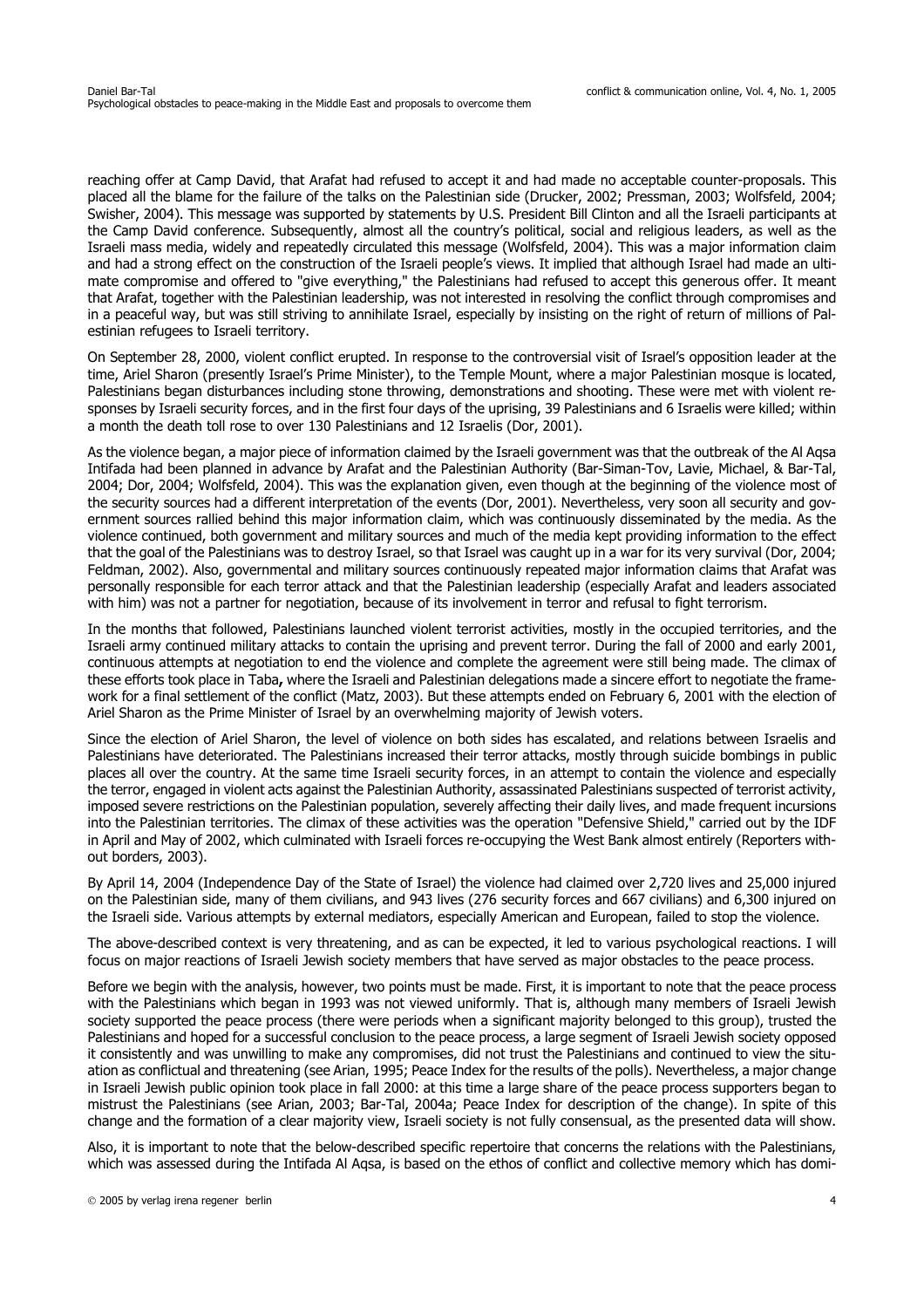reaching offer at Camp David, that Arafat had refused to accept it and had made no acceptable counter-proposals. This placed all the blame for the failure of the talks on the Palestinian side (Drucker, 2002; Pressman, 2003; Wolfsfeld, 2004; Swisher, 2004). This message was supported by statements by U.S. President Bill Clinton and all the Israeli participants at the Camp David conference. Subsequently, almost all the country's political, social and religious leaders, as well as the Israeli mass media, widely and repeatedly circulated this message (Wolfsfeld, 2004). This was a major information claim and had a strong effect on the construction of the Israeli people's views. It implied that although Israel had made an ultimate compromise and offered to "give everything," the Palestinians had refused to accept this generous offer. It meant that Arafat, together with the Palestinian leadership, was not interested in resolving the conflict through compromises and in a peaceful way, but was still striving to annihilate Israel, especially by insisting on the right of return of millions of Palestinian refugees to Israeli territory.

On September 28, 2000, violent conflict erupted. In response to the controversial visit of Israel's opposition leader at the time, Ariel Sharon (presently Israel's Prime Minister), to the Temple Mount, where a major Palestinian mosque is located, Palestinians began disturbances including stone throwing, demonstrations and shooting. These were met with violent responses by Israeli security forces, and in the first four days of the uprising, 39 Palestinians and 6 Israelis were killed; within a month the death toll rose to over 130 Palestinians and 12 Israelis (Dor, 2001).

As the violence began, a major piece of information claimed by the Israeli government was that the outbreak of the Al Aqsa Intifada had been planned in advance by Arafat and the Palestinian Authority (Bar-Siman-Tov, Lavie, Michael, & Bar-Tal, 2004; Dor, 2004; Wolfsfeld, 2004). This was the explanation given, even though at the beginning of the violence most of the security sources had a different interpretation of the events (Dor, 2001). Nevertheless, very soon all security and government sources rallied behind this major information claim, which was continuously disseminated by the media. As the violence continued, both government and military sources and much of the media kept providing information to the effect that the goal of the Palestinians was to destroy Israel, so that Israel was caught up in a war for its very survival (Dor, 2004; Feldman, 2002). Also, governmental and military sources continuously repeated major information claims that Arafat was personally responsible for each terror attack and that the Palestinian leadership (especially Arafat and leaders associated with him) was not a partner for negotiation, because of its involvement in terror and refusal to fight terrorism.

In the months that followed, Palestinians launched violent terrorist activities, mostly in the occupied territories, and the Israeli army continued military attacks to contain the uprising and prevent terror. During the fall of 2000 and early 2001, continuous attempts at negotiation to end the violence and complete the agreement were still being made. The climax of these efforts took place in Taba**,** where the Israeli and Palestinian delegations made a sincere effort to negotiate the framework for a final settlement of the conflict (Matz, 2003). But these attempts ended on February 6, 2001 with the election of Ariel Sharon as the Prime Minister of Israel by an overwhelming majority of Jewish voters.

Since the election of Ariel Sharon, the level of violence on both sides has escalated, and relations between Israelis and Palestinians have deteriorated. The Palestinians increased their terror attacks, mostly through suicide bombings in public places all over the country. At the same time Israeli security forces, in an attempt to contain the violence and especially the terror, engaged in violent acts against the Palestinian Authority, assassinated Palestinians suspected of terrorist activity, imposed severe restrictions on the Palestinian population, severely affecting their daily lives, and made frequent incursions into the Palestinian territories. The climax of these activities was the operation "Defensive Shield," carried out by the IDF in April and May of 2002, which culminated with Israeli forces re-occupying the West Bank almost entirely (Reporters without borders, 2003).

By April 14, 2004 (Independence Day of the State of Israel) the violence had claimed over 2,720 lives and 25,000 injured on the Palestinian side, many of them civilians, and 943 lives (276 security forces and 667 civilians) and 6,300 injured on the Israeli side. Various attempts by external mediators, especially American and European, failed to stop the violence.

The above-described context is very threatening, and as can be expected, it led to various psychological reactions. I will focus on major reactions of Israeli Jewish society members that have served as major obstacles to the peace process.

Before we begin with the analysis, however, two points must be made. First, it is important to note that the peace process with the Palestinians which began in 1993 was not viewed uniformly. That is, although many members of Israeli Jewish society supported the peace process (there were periods when a significant majority belonged to this group), trusted the Palestinians and hoped for a successful conclusion to the peace process, a large segment of Israeli Jewish society opposed it consistently and was unwilling to make any compromises, did not trust the Palestinians and continued to view the situation as conflictual and threatening (see Arian, 1995; Peace Index for the results of the polls). Nevertheless, a major change in Israeli Jewish public opinion took place in fall 2000: at this time a large share of the peace process supporters began to mistrust the Palestinians (see Arian, 2003; Bar-Tal, 2004a; Peace Index for description of the change). In spite of this change and the formation of a clear majority view, Israeli society is not fully consensual, as the presented data will show.

Also, it is important to note that the below-described specific repertoire that concerns the relations with the Palestinians, which was assessed during the Intifada Al Agsa, is based on the ethos of conflict and collective memory which has domi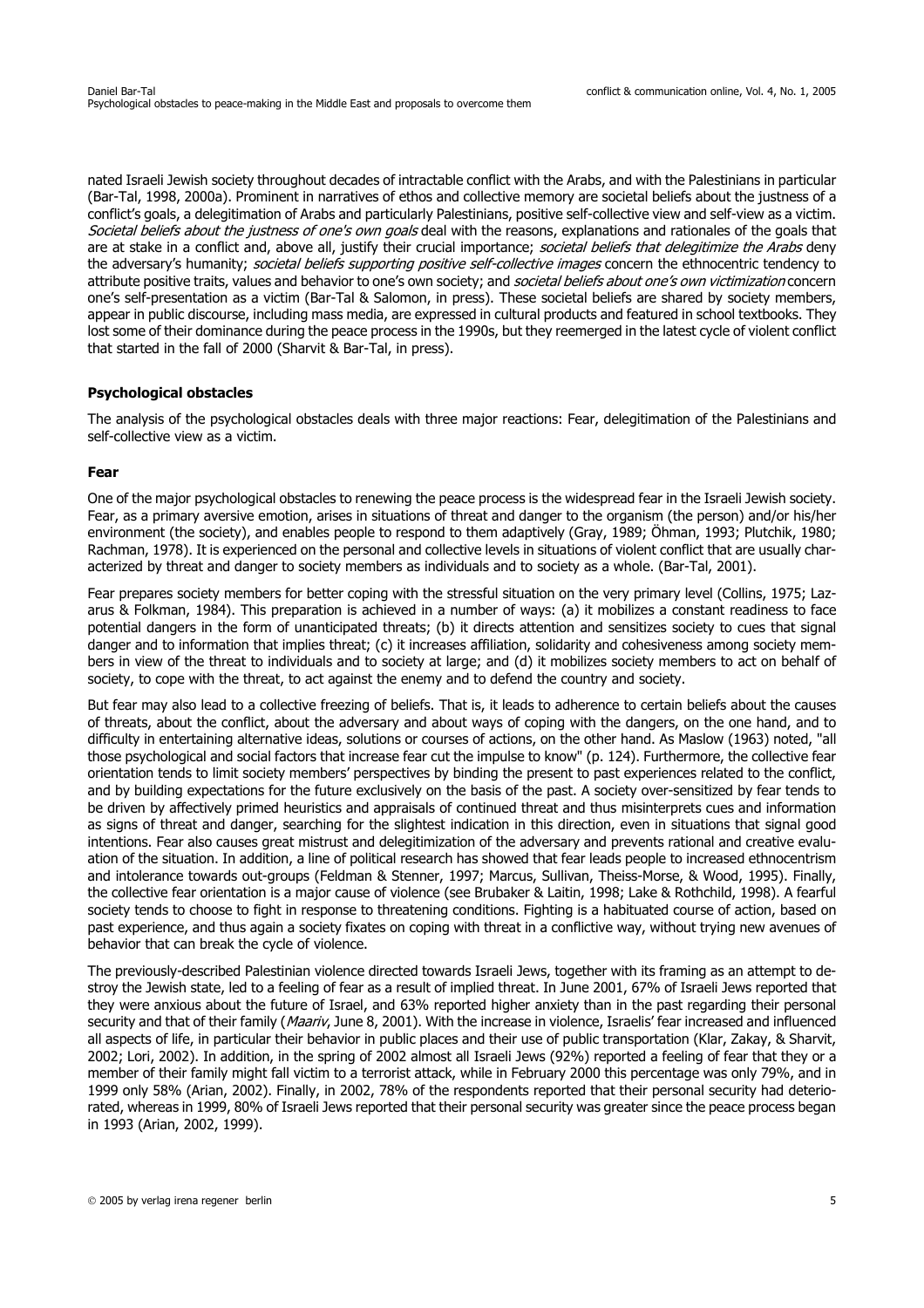nated Israeli Jewish society throughout decades of intractable conflict with the Arabs, and with the Palestinians in particular (Bar-Tal, 1998, 2000a). Prominent in narratives of ethos and collective memory are societal beliefs about the justness of a conflict's goals, a delegitimation of Arabs and particularly Palestinians, positive self-collective view and self-view as a victim. Societal beliefs about the justness of one's own goals deal with the reasons, explanations and rationales of the goals that are at stake in a conflict and, above all, justify their crucial importance; societal beliefs that delegitimize the Arabs deny the adversary's humanity; societal beliefs supporting positive self-collective images concern the ethnocentric tendency to attribute positive traits, values and behavior to one's own society; and societal beliefs about one's own victimization concern one's self-presentation as a victim (Bar-Tal & Salomon, in press). These societal beliefs are shared by society members, appear in public discourse, including mass media, are expressed in cultural products and featured in school textbooks. They lost some of their dominance during the peace process in the 1990s, but they reemerged in the latest cycle of violent conflict that started in the fall of 2000 (Sharvit & Bar-Tal, in press).

# **Psychological obstacles**

The analysis of the psychological obstacles deals with three major reactions: Fear, delegitimation of the Palestinians and self-collective view as a victim.

# **Fear**

One of the major psychological obstacles to renewing the peace process is the widespread fear in the Israeli Jewish society. Fear, as a primary aversive emotion, arises in situations of threat and danger to the organism (the person) and/or his/her environment (the society), and enables people to respond to them adaptively (Gray, 1989; Öhman, 1993; Plutchik, 1980; Rachman, 1978). It is experienced on the personal and collective levels in situations of violent conflict that are usually characterized by threat and danger to society members as individuals and to society as a whole. (Bar-Tal, 2001).

Fear prepares society members for better coping with the stressful situation on the very primary level (Collins, 1975; Lazarus & Folkman, 1984). This preparation is achieved in a number of ways: (a) it mobilizes a constant readiness to face potential dangers in the form of unanticipated threats; (b) it directs attention and sensitizes society to cues that signal danger and to information that implies threat; (c) it increases affiliation, solidarity and cohesiveness among society members in view of the threat to individuals and to society at large; and (d) it mobilizes society members to act on behalf of society, to cope with the threat, to act against the enemy and to defend the country and society.

But fear may also lead to a collective freezing of beliefs. That is, it leads to adherence to certain beliefs about the causes of threats, about the conflict, about the adversary and about ways of coping with the dangers, on the one hand, and to difficulty in entertaining alternative ideas, solutions or courses of actions, on the other hand. As Maslow (1963) noted, "all those psychological and social factors that increase fear cut the impulse to know" (p. 124). Furthermore, the collective fear orientation tends to limit society members' perspectives by binding the present to past experiences related to the conflict, and by building expectations for the future exclusively on the basis of the past. A society over-sensitized by fear tends to be driven by affectively primed heuristics and appraisals of continued threat and thus misinterprets cues and information as signs of threat and danger, searching for the slightest indication in this direction, even in situations that signal good intentions. Fear also causes great mistrust and delegitimization of the adversary and prevents rational and creative evaluation of the situation. In addition, a line of political research has showed that fear leads people to increased ethnocentrism and intolerance towards out-groups (Feldman & Stenner, 1997; Marcus, Sullivan, Theiss-Morse, & Wood, 1995). Finally, the collective fear orientation is a major cause of violence (see Brubaker & Laitin, 1998; Lake & Rothchild, 1998). A fearful society tends to choose to fight in response to threatening conditions. Fighting is a habituated course of action, based on past experience, and thus again a society fixates on coping with threat in a conflictive way, without trying new avenues of behavior that can break the cycle of violence.

The previously-described Palestinian violence directed towards Israeli Jews, together with its framing as an attempt to destroy the Jewish state, led to a feeling of fear as a result of implied threat. In June 2001, 67% of Israeli Jews reported that they were anxious about the future of Israel, and 63% reported higher anxiety than in the past regarding their personal security and that of their family (Maariv, June 8, 2001). With the increase in violence, Israelis' fear increased and influenced all aspects of life, in particular their behavior in public places and their use of public transportation (Klar, Zakay, & Sharvit, 2002; Lori, 2002). In addition, in the spring of 2002 almost all Israeli Jews (92%) reported a feeling of fear that they or a member of their family might fall victim to a terrorist attack, while in February 2000 this percentage was only 79%, and in 1999 only 58% (Arian, 2002). Finally, in 2002, 78% of the respondents reported that their personal security had deteriorated, whereas in 1999, 80% of Israeli Jews reported that their personal security was greater since the peace process began in 1993 (Arian, 2002, 1999).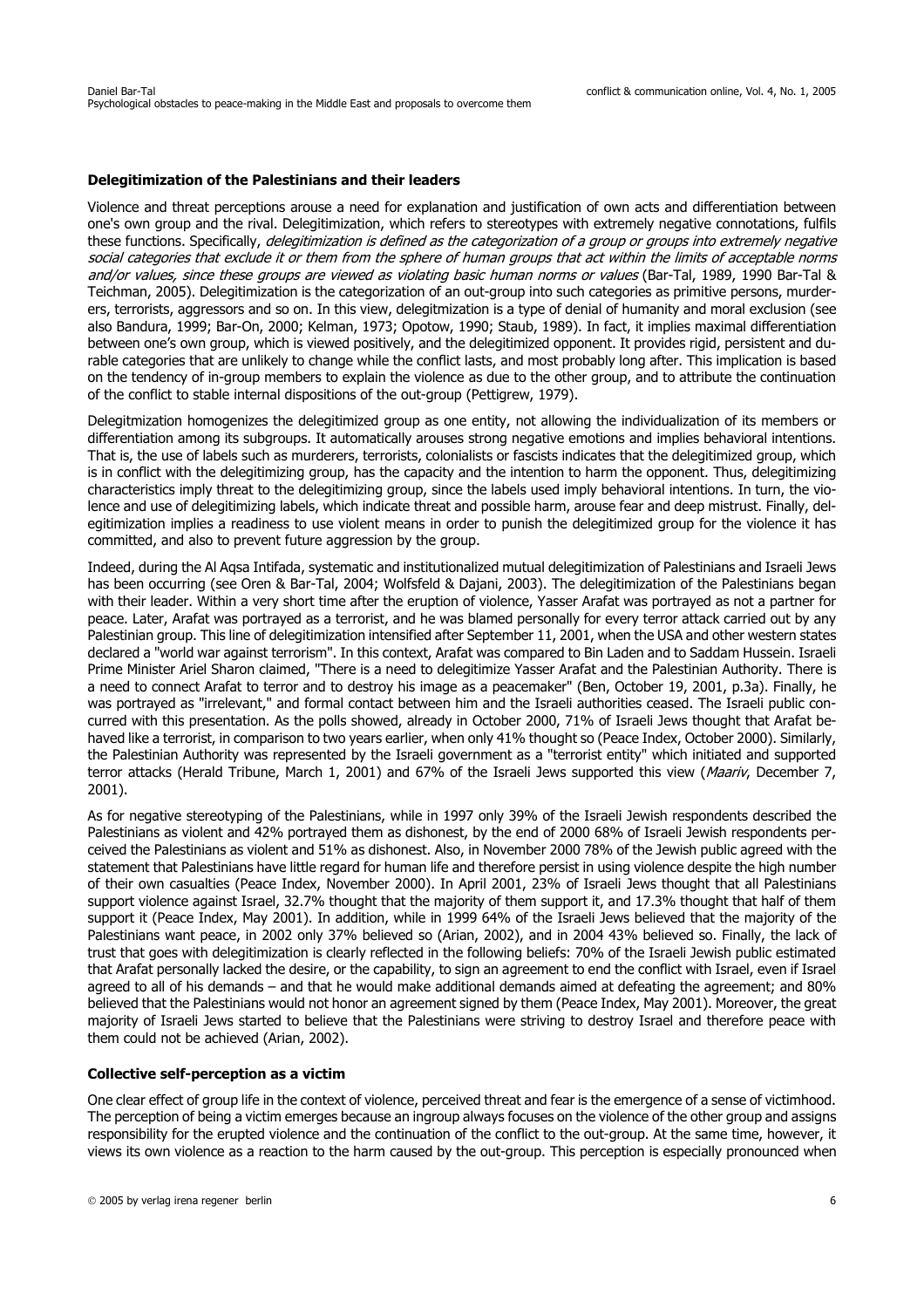### **Delegitimization of the Palestinians and their leaders**

Violence and threat perceptions arouse a need for explanation and justification of own acts and differentiation between one's own group and the rival. Delegitimization, which refers to stereotypes with extremely negative connotations, fulfils these functions. Specifically, delegitimization is defined as the categorization of a group or groups into extremely negative social categories that exclude it or them from the sphere of human groups that act within the limits of acceptable norms and/or values, since these groups are viewed as violating basic human norms or values (Bar-Tal, 1989, 1990 Bar-Tal & Teichman, 2005). Delegitimization is the categorization of an out-group into such categories as primitive persons, murderers, terrorists, aggressors and so on. In this view, delegitmization is a type of denial of humanity and moral exclusion (see also Bandura, 1999; Bar-On, 2000; Kelman, 1973; Opotow, 1990; Staub, 1989). In fact, it implies maximal differentiation between one's own group, which is viewed positively, and the delegitimized opponent. It provides rigid, persistent and durable categories that are unlikely to change while the conflict lasts, and most probably long after. This implication is based on the tendency of in-group members to explain the violence as due to the other group, and to attribute the continuation of the conflict to stable internal dispositions of the out-group (Pettigrew, 1979).

Delegitmization homogenizes the delegitimized group as one entity, not allowing the individualization of its members or differentiation among its subgroups. It automatically arouses strong negative emotions and implies behavioral intentions. That is, the use of labels such as murderers, terrorists, colonialists or fascists indicates that the delegitimized group, which is in conflict with the delegitimizing group, has the capacity and the intention to harm the opponent. Thus, delegitimizing characteristics imply threat to the delegitimizing group, since the labels used imply behavioral intentions. In turn, the violence and use of delegitimizing labels, which indicate threat and possible harm, arouse fear and deep mistrust. Finally, delegitimization implies a readiness to use violent means in order to punish the delegitimized group for the violence it has committed, and also to prevent future aggression by the group.

Indeed, during the Al Aqsa Intifada, systematic and institutionalized mutual delegitimization of Palestinians and Israeli Jews has been occurring (see Oren & Bar-Tal, 2004; Wolfsfeld & Dajani, 2003). The delegitimization of the Palestinians began with their leader. Within a very short time after the eruption of violence, Yasser Arafat was portrayed as not a partner for peace. Later, Arafat was portrayed as a terrorist, and he was blamed personally for every terror attack carried out by any Palestinian group. This line of delegitimization intensified after September 11, 2001, when the USA and other western states declared a "world war against terrorism". In this context, Arafat was compared to Bin Laden and to Saddam Hussein. Israeli Prime Minister Ariel Sharon claimed, "There is a need to delegitimize Yasser Arafat and the Palestinian Authority. There is a need to connect Arafat to terror and to destroy his image as a peacemaker" (Ben, October 19, 2001, p.3a). Finally, he was portrayed as "irrelevant," and formal contact between him and the Israeli authorities ceased. The Israeli public concurred with this presentation. As the polls showed, already in October 2000, 71% of Israeli Jews thought that Arafat behaved like a terrorist, in comparison to two years earlier, when only 41% thought so (Peace Index, October 2000). Similarly, the Palestinian Authority was represented by the Israeli government as a "terrorist entity" which initiated and supported terror attacks (Herald Tribune, March 1, 2001) and 67% of the Israeli Jews supported this view (Maariv, December 7, 2001).

As for negative stereotyping of the Palestinians, while in 1997 only 39% of the Israeli Jewish respondents described the Palestinians as violent and 42% portrayed them as dishonest, by the end of 2000 68% of Israeli Jewish respondents perceived the Palestinians as violent and 51% as dishonest. Also, in November 2000 78% of the Jewish public agreed with the statement that Palestinians have little regard for human life and therefore persist in using violence despite the high number of their own casualties (Peace Index, November 2000). In April 2001, 23% of Israeli Jews thought that all Palestinians support violence against Israel, 32.7% thought that the majority of them support it, and 17.3% thought that half of them support it (Peace Index, May 2001). In addition, while in 1999 64% of the Israeli Jews believed that the majority of the Palestinians want peace, in 2002 only 37% believed so (Arian, 2002), and in 2004 43% believed so. Finally, the lack of trust that goes with delegitimization is clearly reflected in the following beliefs: 70% of the Israeli Jewish public estimated that Arafat personally lacked the desire, or the capability, to sign an agreement to end the conflict with Israel, even if Israel agreed to all of his demands – and that he would make additional demands aimed at defeating the agreement; and 80% believed that the Palestinians would not honor an agreement signed by them (Peace Index, May 2001). Moreover, the great majority of Israeli Jews started to believe that the Palestinians were striving to destroy Israel and therefore peace with them could not be achieved (Arian, 2002).

#### **Collective self-perception as a victim**

One clear effect of group life in the context of violence, perceived threat and fear is the emergence of a sense of victimhood. The perception of being a victim emerges because an ingroup always focuses on the violence of the other group and assigns responsibility for the erupted violence and the continuation of the conflict to the out-group. At the same time, however, it views its own violence as a reaction to the harm caused by the out-group. This perception is especially pronounced when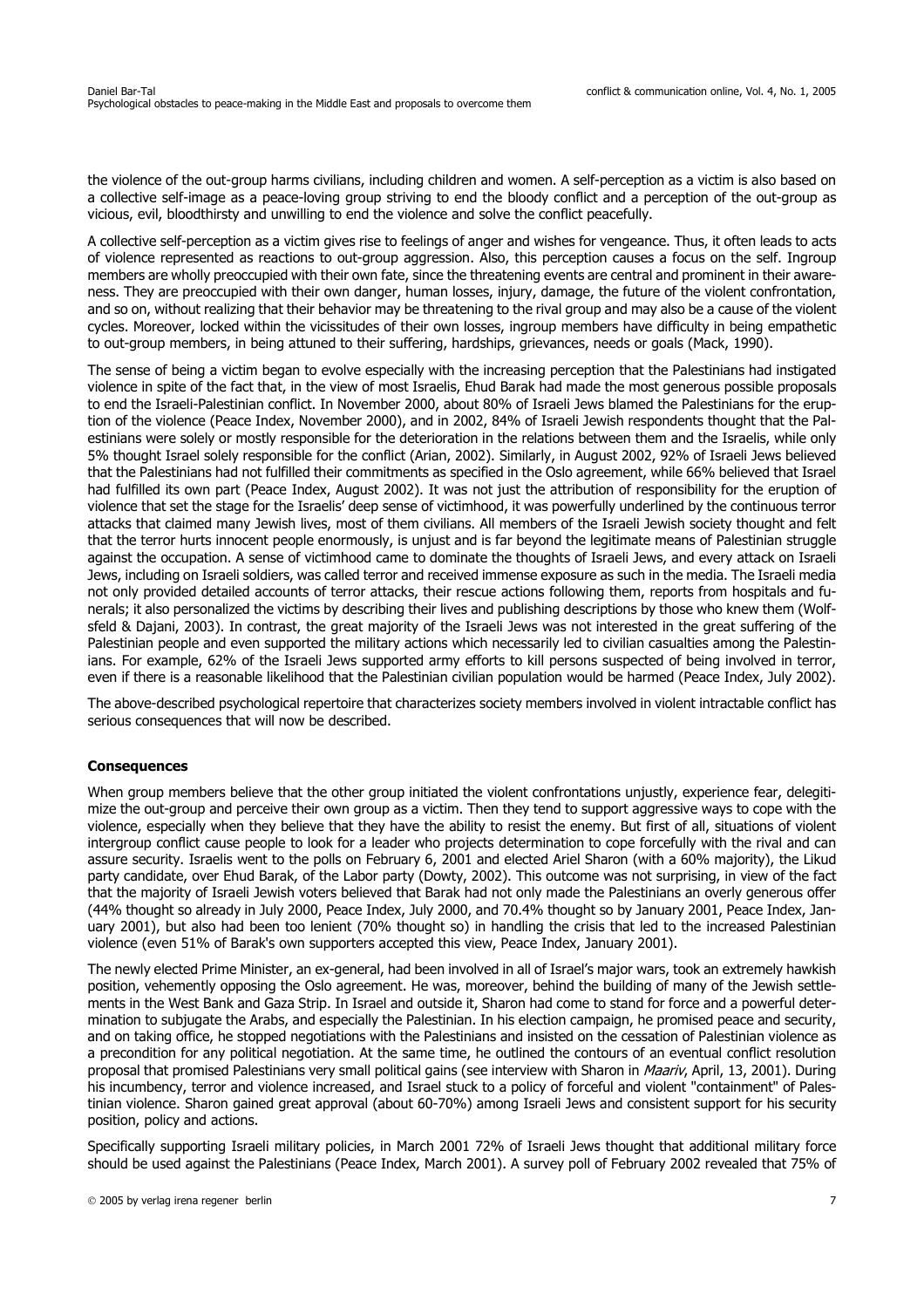the violence of the out-group harms civilians, including children and women. A self-perception as a victim is also based on a collective self-image as a peace-loving group striving to end the bloody conflict and a perception of the out-group as vicious, evil, bloodthirsty and unwilling to end the violence and solve the conflict peacefully.

A collective self-perception as a victim gives rise to feelings of anger and wishes for vengeance. Thus, it often leads to acts of violence represented as reactions to out-group aggression. Also, this perception causes a focus on the self. Ingroup members are wholly preoccupied with their own fate, since the threatening events are central and prominent in their awareness. They are preoccupied with their own danger, human losses, injury, damage, the future of the violent confrontation, and so on, without realizing that their behavior may be threatening to the rival group and may also be a cause of the violent cycles. Moreover, locked within the vicissitudes of their own losses, ingroup members have difficulty in being empathetic to out-group members, in being attuned to their suffering, hardships, grievances, needs or goals (Mack, 1990).

The sense of being a victim began to evolve especially with the increasing perception that the Palestinians had instigated violence in spite of the fact that, in the view of most Israelis, Ehud Barak had made the most generous possible proposals to end the Israeli-Palestinian conflict. In November 2000, about 80% of Israeli Jews blamed the Palestinians for the eruption of the violence (Peace Index, November 2000), and in 2002, 84% of Israeli Jewish respondents thought that the Palestinians were solely or mostly responsible for the deterioration in the relations between them and the Israelis, while only 5% thought Israel solely responsible for the conflict (Arian, 2002). Similarly, in August 2002, 92% of Israeli Jews believed that the Palestinians had not fulfilled their commitments as specified in the Oslo agreement, while 66% believed that Israel had fulfilled its own part (Peace Index, August 2002). It was not just the attribution of responsibility for the eruption of violence that set the stage for the Israelis' deep sense of victimhood, it was powerfully underlined by the continuous terror attacks that claimed many Jewish lives, most of them civilians. All members of the Israeli Jewish society thought and felt that the terror hurts innocent people enormously, is uniust and is far beyond the legitimate means of Palestinian struggle against the occupation. A sense of victimhood came to dominate the thoughts of Israeli Jews, and every attack on Israeli Jews, including on Israeli soldiers, was called terror and received immense exposure as such in the media. The Israeli media not only provided detailed accounts of terror attacks, their rescue actions following them, reports from hospitals and funerals; it also personalized the victims by describing their lives and publishing descriptions by those who knew them (Wolfsfeld & Dajani, 2003). In contrast, the great majority of the Israeli Jews was not interested in the great suffering of the Palestinian people and even supported the military actions which necessarily led to civilian casualties among the Palestinians. For example, 62% of the Israeli Jews supported army efforts to kill persons suspected of being involved in terror, even if there is a reasonable likelihood that the Palestinian civilian population would be harmed (Peace Index, July 2002).

The above-described psychological repertoire that characterizes society members involved in violent intractable conflict has serious consequences that will now be described.

# **Consequences**

When group members believe that the other group initiated the violent confrontations unjustly, experience fear, delegitimize the out-group and perceive their own group as a victim. Then they tend to support aggressive ways to cope with the violence, especially when they believe that they have the ability to resist the enemy. But first of all, situations of violent intergroup conflict cause people to look for a leader who projects determination to cope forcefully with the rival and can assure security. Israelis went to the polls on February 6, 2001 and elected Ariel Sharon (with a 60% majority), the Likud party candidate, over Ehud Barak, of the Labor party (Dowty, 2002). This outcome was not surprising, in view of the fact that the majority of Israeli Jewish voters believed that Barak had not only made the Palestinians an overly generous offer (44% thought so already in July 2000, Peace Index, July 2000, and 70.4% thought so by January 2001, Peace Index, January 2001), but also had been too lenient (70% thought so) in handling the crisis that led to the increased Palestinian violence (even 51% of Barak's own supporters accepted this view, Peace Index, January 2001).

The newly elected Prime Minister, an ex-general, had been involved in all of Israel's major wars, took an extremely hawkish position, vehemently opposing the Oslo agreement. He was, moreover, behind the building of many of the Jewish settlements in the West Bank and Gaza Strip. In Israel and outside it, Sharon had come to stand for force and a powerful determination to subjugate the Arabs, and especially the Palestinian. In his election campaign, he promised peace and security, and on taking office, he stopped negotiations with the Palestinians and insisted on the cessation of Palestinian violence as a precondition for any political negotiation. At the same time, he outlined the contours of an eventual conflict resolution proposal that promised Palestinians very small political gains (see interview with Sharon in Maariv, April, 13, 2001). During his incumbency, terror and violence increased, and Israel stuck to a policy of forceful and violent "containment" of Palestinian violence. Sharon gained great approval (about 60-70%) among Israeli Jews and consistent support for his security position, policy and actions.

Specifically supporting Israeli military policies, in March 2001 72% of Israeli Jews thought that additional military force should be used against the Palestinians (Peace Index, March 2001). A survey poll of February 2002 revealed that 75% of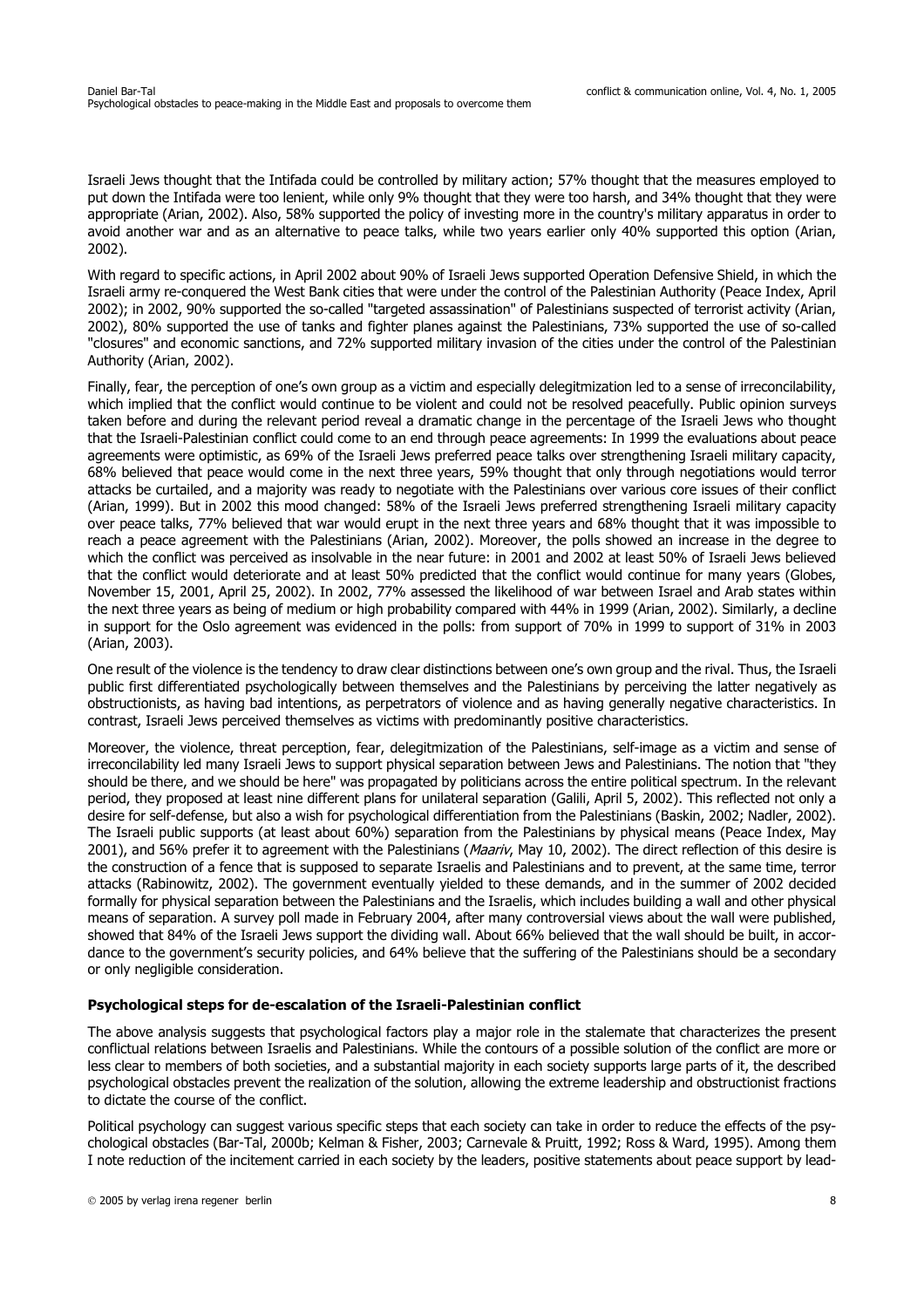Israeli Jews thought that the Intifada could be controlled by military action; 57% thought that the measures employed to put down the Intifada were too lenient, while only 9% thought that they were too harsh, and 34% thought that they were appropriate (Arian, 2002). Also, 58% supported the policy of investing more in the country's military apparatus in order to avoid another war and as an alternative to peace talks, while two years earlier only 40% supported this option (Arian, 2002).

With regard to specific actions, in April 2002 about 90% of Israeli Jews supported Operation Defensive Shield, in which the Israeli army re-conquered the West Bank cities that were under the control of the Palestinian Authority (Peace Index, April 2002); in 2002, 90% supported the so-called "targeted assassination" of Palestinians suspected of terrorist activity (Arian, 2002), 80% supported the use of tanks and fighter planes against the Palestinians, 73% supported the use of so-called "closures" and economic sanctions, and 72% supported military invasion of the cities under the control of the Palestinian Authority (Arian, 2002).

Finally, fear, the perception of one's own group as a victim and especially delegitmization led to a sense of irreconcilability, which implied that the conflict would continue to be violent and could not be resolved peacefully. Public opinion surveys taken before and during the relevant period reveal a dramatic change in the percentage of the Israeli Jews who thought that the Israeli-Palestinian conflict could come to an end through peace agreements: In 1999 the evaluations about peace agreements were optimistic, as 69% of the Israeli Jews preferred peace talks over strengthening Israeli military capacity, 68% believed that peace would come in the next three years, 59% thought that only through negotiations would terror attacks be curtailed, and a majority was ready to negotiate with the Palestinians over various core issues of their conflict (Arian, 1999). But in 2002 this mood changed: 58% of the Israeli Jews preferred strengthening Israeli military capacity over peace talks, 77% believed that war would erupt in the next three years and 68% thought that it was impossible to reach a peace agreement with the Palestinians (Arian, 2002). Moreover, the polls showed an increase in the degree to which the conflict was perceived as insolvable in the near future: in 2001 and 2002 at least 50% of Israeli Jews believed that the conflict would deteriorate and at least 50% predicted that the conflict would continue for many years (Globes, November 15, 2001, April 25, 2002). In 2002, 77% assessed the likelihood of war between Israel and Arab states within the next three years as being of medium or high probability compared with 44% in 1999 (Arian, 2002). Similarly, a decline in support for the Oslo agreement was evidenced in the polls: from support of 70% in 1999 to support of 31% in 2003 (Arian, 2003).

One result of the violence is the tendency to draw clear distinctions between one's own group and the rival. Thus, the Israeli public first differentiated psychologically between themselves and the Palestinians by perceiving the latter negatively as obstructionists, as having bad intentions, as perpetrators of violence and as having generally negative characteristics. In contrast, Israeli Jews perceived themselves as victims with predominantly positive characteristics.

Moreover, the violence, threat perception, fear, delegitmization of the Palestinians, self-image as a victim and sense of irreconcilability led many Israeli Jews to support physical separation between Jews and Palestinians. The notion that "they should be there, and we should be here" was propagated by politicians across the entire political spectrum. In the relevant period, they proposed at least nine different plans for unilateral separation (Galili, April 5, 2002). This reflected not only a desire for self-defense, but also a wish for psychological differentiation from the Palestinians (Baskin, 2002; Nadler, 2002). The Israeli public supports (at least about 60%) separation from the Palestinians by physical means (Peace Index, May 2001), and 56% prefer it to agreement with the Palestinians (Maariv, May 10, 2002). The direct reflection of this desire is the construction of a fence that is supposed to separate Israelis and Palestinians and to prevent, at the same time, terror attacks (Rabinowitz, 2002). The government eventually yielded to these demands, and in the summer of 2002 decided formally for physical separation between the Palestinians and the Israelis, which includes building a wall and other physical means of separation. A survey poll made in February 2004, after many controversial views about the wall were published, showed that 84% of the Israeli Jews support the dividing wall. About 66% believed that the wall should be built, in accordance to the government's security policies, and 64% believe that the suffering of the Palestinians should be a secondary or only negligible consideration.

# **Psychological steps for de-escalation of the Israeli-Palestinian conflict**

The above analysis suggests that psychological factors play a major role in the stalemate that characterizes the present conflictual relations between Israelis and Palestinians. While the contours of a possible solution of the conflict are more or less clear to members of both societies, and a substantial majority in each society supports large parts of it, the described psychological obstacles prevent the realization of the solution, allowing the extreme leadership and obstructionist fractions to dictate the course of the conflict.

Political psychology can suggest various specific steps that each society can take in order to reduce the effects of the psychological obstacles (Bar-Tal, 2000b; Kelman & Fisher, 2003; Carnevale & Pruitt, 1992; Ross & Ward, 1995). Among them I note reduction of the incitement carried in each society by the leaders, positive statements about peace support by lead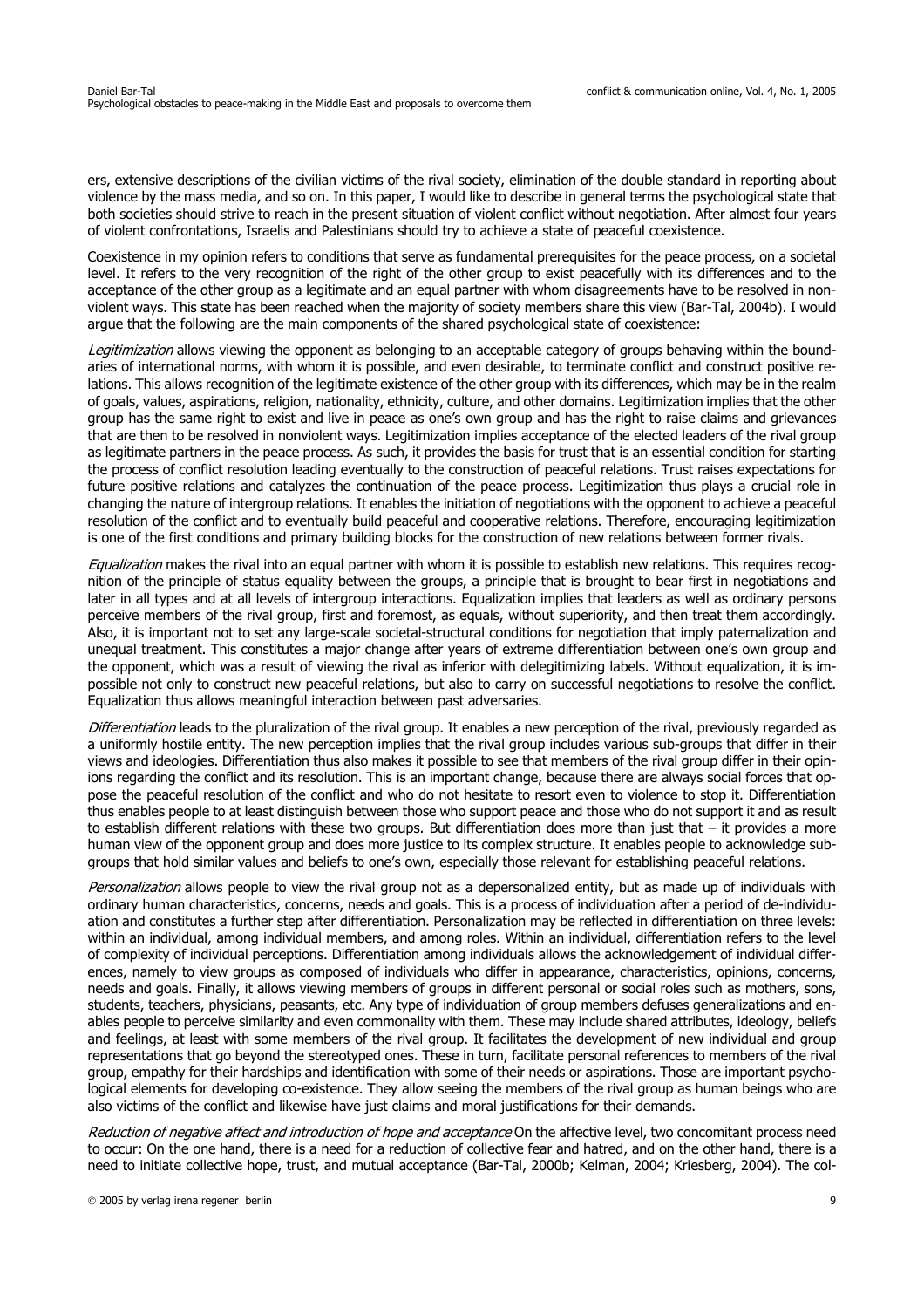ers, extensive descriptions of the civilian victims of the rival society, elimination of the double standard in reporting about violence by the mass media, and so on. In this paper, I would like to describe in general terms the psychological state that both societies should strive to reach in the present situation of violent conflict without negotiation. After almost four years of violent confrontations, Israelis and Palestinians should try to achieve a state of peaceful coexistence.

Coexistence in my opinion refers to conditions that serve as fundamental prerequisites for the peace process, on a societal level. It refers to the very recognition of the right of the other group to exist peacefully with its differences and to the acceptance of the other group as a legitimate and an equal partner with whom disagreements have to be resolved in nonviolent ways. This state has been reached when the majority of society members share this view (Bar-Tal, 2004b). I would argue that the following are the main components of the shared psychological state of coexistence:

Legitimization allows viewing the opponent as belonging to an acceptable category of groups behaving within the boundaries of international norms, with whom it is possible, and even desirable, to terminate conflict and construct positive relations. This allows recognition of the legitimate existence of the other group with its differences, which may be in the realm of goals, values, aspirations, religion, nationality, ethnicity, culture, and other domains. Legitimization implies that the other group has the same right to exist and live in peace as one's own group and has the right to raise claims and grievances that are then to be resolved in nonviolent ways. Legitimization implies acceptance of the elected leaders of the rival group as legitimate partners in the peace process. As such, it provides the basis for trust that is an essential condition for starting the process of conflict resolution leading eventually to the construction of peaceful relations. Trust raises expectations for future positive relations and catalyzes the continuation of the peace process. Legitimization thus plays a crucial role in changing the nature of intergroup relations. It enables the initiation of negotiations with the opponent to achieve a peaceful resolution of the conflict and to eventually build peaceful and cooperative relations. Therefore, encouraging legitimization is one of the first conditions and primary building blocks for the construction of new relations between former rivals.

Equalization makes the rival into an equal partner with whom it is possible to establish new relations. This requires recognition of the principle of status equality between the groups, a principle that is brought to bear first in negotiations and later in all types and at all levels of intergroup interactions. Equalization implies that leaders as well as ordinary persons perceive members of the rival group, first and foremost, as equals, without superiority, and then treat them accordingly. Also, it is important not to set any large-scale societal-structural conditions for negotiation that imply paternalization and unequal treatment. This constitutes a major change after years of extreme differentiation between one's own group and the opponent, which was a result of viewing the rival as inferior with delegitimizing labels. Without equalization, it is impossible not only to construct new peaceful relations, but also to carry on successful negotiations to resolve the conflict. Equalization thus allows meaningful interaction between past adversaries.

Differentiation leads to the pluralization of the rival group. It enables a new perception of the rival, previously regarded as a uniformly hostile entity. The new perception implies that the rival group includes various sub-groups that differ in their views and ideologies. Differentiation thus also makes it possible to see that members of the rival group differ in their opinions regarding the conflict and its resolution. This is an important change, because there are always social forces that oppose the peaceful resolution of the conflict and who do not hesitate to resort even to violence to stop it. Differentiation thus enables people to at least distinguish between those who support peace and those who do not support it and as result to establish different relations with these two groups. But differentiation does more than just that – it provides a more human view of the opponent group and does more justice to its complex structure. It enables people to acknowledge subgroups that hold similar values and beliefs to one's own, especially those relevant for establishing peaceful relations.

Personalization allows people to view the rival group not as a depersonalized entity, but as made up of individuals with ordinary human characteristics, concerns, needs and goals. This is a process of individuation after a period of de-individuation and constitutes a further step after differentiation. Personalization may be reflected in differentiation on three levels: within an individual, among individual members, and among roles. Within an individual, differentiation refers to the level of complexity of individual perceptions. Differentiation among individuals allows the acknowledgement of individual differences, namely to view groups as composed of individuals who differ in appearance, characteristics, opinions, concerns, needs and goals. Finally, it allows viewing members of groups in different personal or social roles such as mothers, sons, students, teachers, physicians, peasants, etc. Any type of individuation of group members defuses generalizations and enables people to perceive similarity and even commonality with them. These may include shared attributes, ideology, beliefs and feelings, at least with some members of the rival group. It facilitates the development of new individual and group representations that go beyond the stereotyped ones. These in turn, facilitate personal references to members of the rival group, empathy for their hardships and identification with some of their needs or aspirations. Those are important psychological elements for developing co-existence. They allow seeing the members of the rival group as human beings who are also victims of the conflict and likewise have just claims and moral justifications for their demands.

Reduction of negative affect and introduction of hope and acceptance On the affective level, two concomitant process need to occur: On the one hand, there is a need for a reduction of collective fear and hatred, and on the other hand, there is a need to initiate collective hope, trust, and mutual acceptance (Bar-Tal, 2000b; Kelman, 2004; Kriesberg, 2004). The col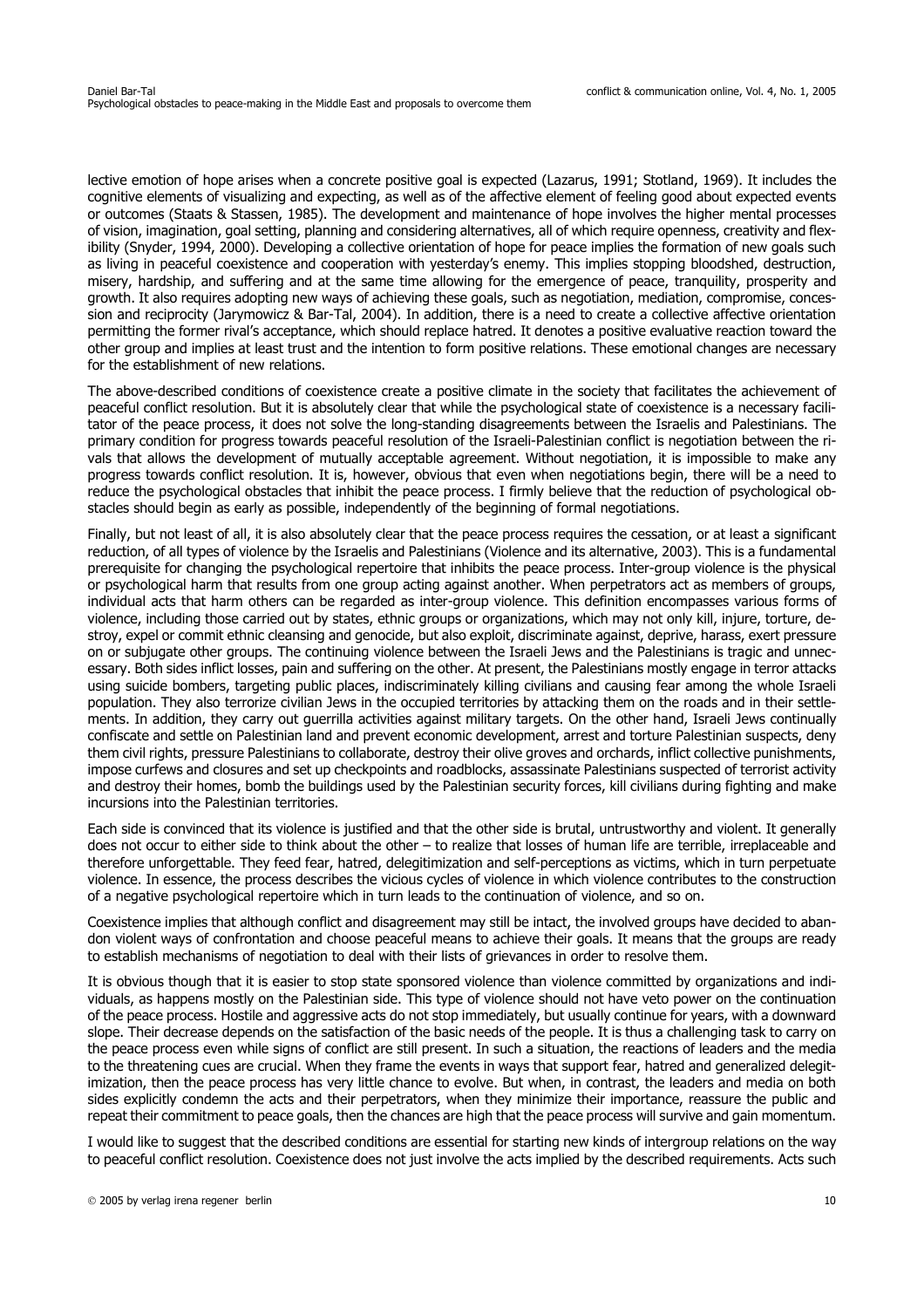lective emotion of hope arises when a concrete positive goal is expected (Lazarus, 1991; Stotland, 1969). It includes the cognitive elements of visualizing and expecting, as well as of the affective element of feeling good about expected events or outcomes (Staats & Stassen, 1985). The development and maintenance of hope involves the higher mental processes of vision, imagination, goal setting, planning and considering alternatives, all of which require openness, creativity and flexibility (Snyder, 1994, 2000). Developing a collective orientation of hope for peace implies the formation of new goals such as living in peaceful coexistence and cooperation with yesterday's enemy. This implies stopping bloodshed, destruction, misery, hardship, and suffering and at the same time allowing for the emergence of peace, tranquility, prosperity and growth. It also requires adopting new ways of achieving these goals, such as negotiation, mediation, compromise, concession and reciprocity (Jarymowicz & Bar-Tal, 2004). In addition, there is a need to create a collective affective orientation permitting the former rival's acceptance, which should replace hatred. It denotes a positive evaluative reaction toward the other group and implies at least trust and the intention to form positive relations. These emotional changes are necessary for the establishment of new relations.

The above-described conditions of coexistence create a positive climate in the society that facilitates the achievement of peaceful conflict resolution. But it is absolutely clear that while the psychological state of coexistence is a necessary facilitator of the peace process, it does not solve the long-standing disagreements between the Israelis and Palestinians. The primary condition for progress towards peaceful resolution of the Israeli-Palestinian conflict is negotiation between the rivals that allows the development of mutually acceptable agreement. Without negotiation, it is impossible to make any progress towards conflict resolution. It is, however, obvious that even when negotiations begin, there will be a need to reduce the psychological obstacles that inhibit the peace process. I firmly believe that the reduction of psychological obstacles should begin as early as possible, independently of the beginning of formal negotiations.

Finally, but not least of all, it is also absolutely clear that the peace process requires the cessation, or at least a significant reduction, of all types of violence by the Israelis and Palestinians (Violence and its alternative, 2003). This is a fundamental prerequisite for changing the psychological repertoire that inhibits the peace process. Inter-group violence is the physical or psychological harm that results from one group acting against another. When perpetrators act as members of groups, individual acts that harm others can be regarded as inter-group violence. This definition encompasses various forms of violence, including those carried out by states, ethnic groups or organizations, which may not only kill, injure, torture, destroy, expel or commit ethnic cleansing and genocide, but also exploit, discriminate against, deprive, harass, exert pressure on or subjugate other groups. The continuing violence between the Israeli Jews and the Palestinians is tragic and unnecessary. Both sides inflict losses, pain and suffering on the other. At present, the Palestinians mostly engage in terror attacks using suicide bombers, targeting public places, indiscriminately killing civilians and causing fear among the whole Israeli population. They also terrorize civilian Jews in the occupied territories by attacking them on the roads and in their settlements. In addition, they carry out guerrilla activities against military targets. On the other hand, Israeli Jews continually confiscate and settle on Palestinian land and prevent economic development, arrest and torture Palestinian suspects, deny them civil rights, pressure Palestinians to collaborate, destroy their olive groves and orchards, inflict collective punishments, impose curfews and closures and set up checkpoints and roadblocks, assassinate Palestinians suspected of terrorist activity and destroy their homes, bomb the buildings used by the Palestinian security forces, kill civilians during fighting and make incursions into the Palestinian territories.

Each side is convinced that its violence is justified and that the other side is brutal, untrustworthy and violent. It generally does not occur to either side to think about the other – to realize that losses of human life are terrible, irreplaceable and therefore unforgettable. They feed fear, hatred, delegitimization and self-perceptions as victims, which in turn perpetuate violence. In essence, the process describes the vicious cycles of violence in which violence contributes to the construction of a negative psychological repertoire which in turn leads to the continuation of violence, and so on.

Coexistence implies that although conflict and disagreement may still be intact, the involved groups have decided to abandon violent ways of confrontation and choose peaceful means to achieve their goals. It means that the groups are ready to establish mechanisms of negotiation to deal with their lists of grievances in order to resolve them.

It is obvious though that it is easier to stop state sponsored violence than violence committed by organizations and individuals, as happens mostly on the Palestinian side. This type of violence should not have veto power on the continuation of the peace process. Hostile and aggressive acts do not stop immediately, but usually continue for years, with a downward slope. Their decrease depends on the satisfaction of the basic needs of the people. It is thus a challenging task to carry on the peace process even while signs of conflict are still present. In such a situation, the reactions of leaders and the media to the threatening cues are crucial. When they frame the events in ways that support fear, hatred and generalized delegitimization, then the peace process has very little chance to evolve. But when, in contrast, the leaders and media on both sides explicitly condemn the acts and their perpetrators, when they minimize their importance, reassure the public and repeat their commitment to peace goals, then the chances are high that the peace process will survive and gain momentum.

I would like to suggest that the described conditions are essential for starting new kinds of intergroup relations on the way to peaceful conflict resolution. Coexistence does not just involve the acts implied by the described requirements. Acts such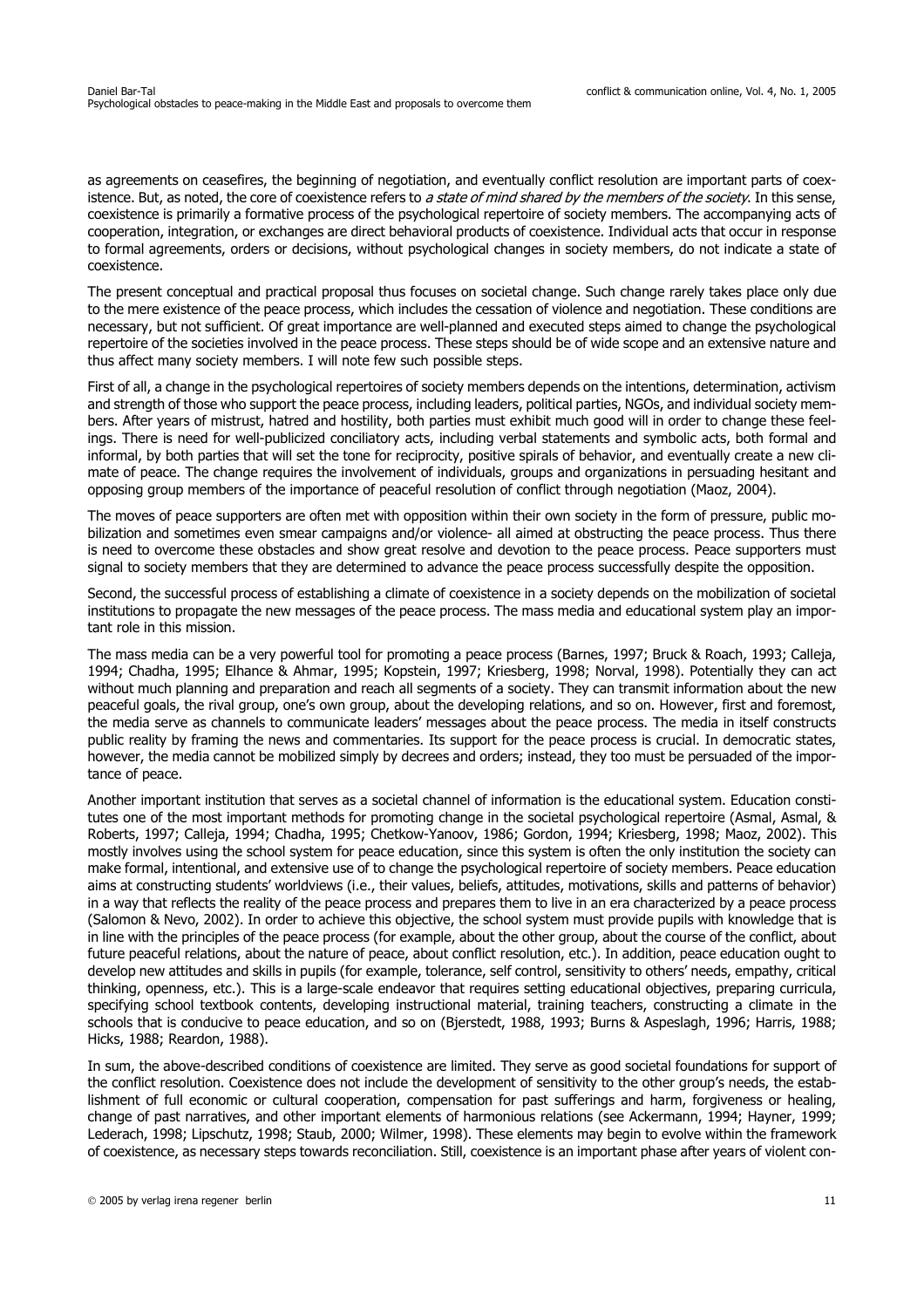as agreements on ceasefires, the beginning of negotiation, and eventually conflict resolution are important parts of coexistence. But, as noted, the core of coexistence refers to a state of mind shared by the members of the society. In this sense, coexistence is primarily a formative process of the psychological repertoire of society members. The accompanying acts of cooperation, integration, or exchanges are direct behavioral products of coexistence. Individual acts that occur in response to formal agreements, orders or decisions, without psychological changes in society members, do not indicate a state of coexistence.

The present conceptual and practical proposal thus focuses on societal change. Such change rarely takes place only due to the mere existence of the peace process, which includes the cessation of violence and negotiation. These conditions are necessary, but not sufficient. Of great importance are well-planned and executed steps aimed to change the psychological repertoire of the societies involved in the peace process. These steps should be of wide scope and an extensive nature and thus affect many society members. I will note few such possible steps.

First of all, a change in the psychological repertoires of society members depends on the intentions, determination, activism and strength of those who support the peace process, including leaders, political parties, NGOs, and individual society members. After years of mistrust, hatred and hostility, both parties must exhibit much good will in order to change these feelings. There is need for well-publicized conciliatory acts, including verbal statements and symbolic acts, both formal and informal, by both parties that will set the tone for reciprocity, positive spirals of behavior, and eventually create a new climate of peace. The change requires the involvement of individuals, groups and organizations in persuading hesitant and opposing group members of the importance of peaceful resolution of conflict through negotiation (Maoz, 2004).

The moves of peace supporters are often met with opposition within their own society in the form of pressure, public mobilization and sometimes even smear campaigns and/or violence- all aimed at obstructing the peace process. Thus there is need to overcome these obstacles and show great resolve and devotion to the peace process. Peace supporters must signal to society members that they are determined to advance the peace process successfully despite the opposition.

Second, the successful process of establishing a climate of coexistence in a society depends on the mobilization of societal institutions to propagate the new messages of the peace process. The mass media and educational system play an important role in this mission.

The mass media can be a very powerful tool for promoting a peace process (Barnes, 1997; Bruck & Roach, 1993; Calleja, 1994; Chadha, 1995; Elhance & Ahmar, 1995; Kopstein, 1997; Kriesberg, 1998; Norval, 1998). Potentially they can act without much planning and preparation and reach all segments of a society. They can transmit information about the new peaceful goals, the rival group, one's own group, about the developing relations, and so on. However, first and foremost, the media serve as channels to communicate leaders' messages about the peace process. The media in itself constructs public reality by framing the news and commentaries. Its support for the peace process is crucial. In democratic states, however, the media cannot be mobilized simply by decrees and orders; instead, they too must be persuaded of the importance of peace.

Another important institution that serves as a societal channel of information is the educational system. Education constitutes one of the most important methods for promoting change in the societal psychological repertoire (Asmal, Asmal, & Roberts, 1997; Calleja, 1994; Chadha, 1995; Chetkow-Yanoov, 1986; Gordon, 1994; Kriesberg, 1998; Maoz, 2002). This mostly involves using the school system for peace education, since this system is often the only institution the society can make formal, intentional, and extensive use of to change the psychological repertoire of society members. Peace education aims at constructing students' worldviews (i.e., their values, beliefs, attitudes, motivations, skills and patterns of behavior) in a way that reflects the reality of the peace process and prepares them to live in an era characterized by a peace process (Salomon & Nevo, 2002). In order to achieve this objective, the school system must provide pupils with knowledge that is in line with the principles of the peace process (for example, about the other group, about the course of the conflict, about future peaceful relations, about the nature of peace, about conflict resolution, etc.). In addition, peace education ought to develop new attitudes and skills in pupils (for example, tolerance, self control, sensitivity to others' needs, empathy, critical thinking, openness, etc.). This is a large-scale endeavor that requires setting educational objectives, preparing curricula, specifying school textbook contents, developing instructional material, training teachers, constructing a climate in the schools that is conducive to peace education, and so on (Bjerstedt, 1988, 1993; Burns & Aspeslagh, 1996; Harris, 1988; Hicks, 1988; Reardon, 1988).

In sum, the above-described conditions of coexistence are limited. They serve as good societal foundations for support of the conflict resolution. Coexistence does not include the development of sensitivity to the other group's needs, the establishment of full economic or cultural cooperation, compensation for past sufferings and harm, forgiveness or healing, change of past narratives, and other important elements of harmonious relations (see Ackermann, 1994; Hayner, 1999; Lederach, 1998; Lipschutz, 1998; Staub, 2000; Wilmer, 1998). These elements may begin to evolve within the framework of coexistence, as necessary steps towards reconciliation. Still, coexistence is an important phase after years of violent con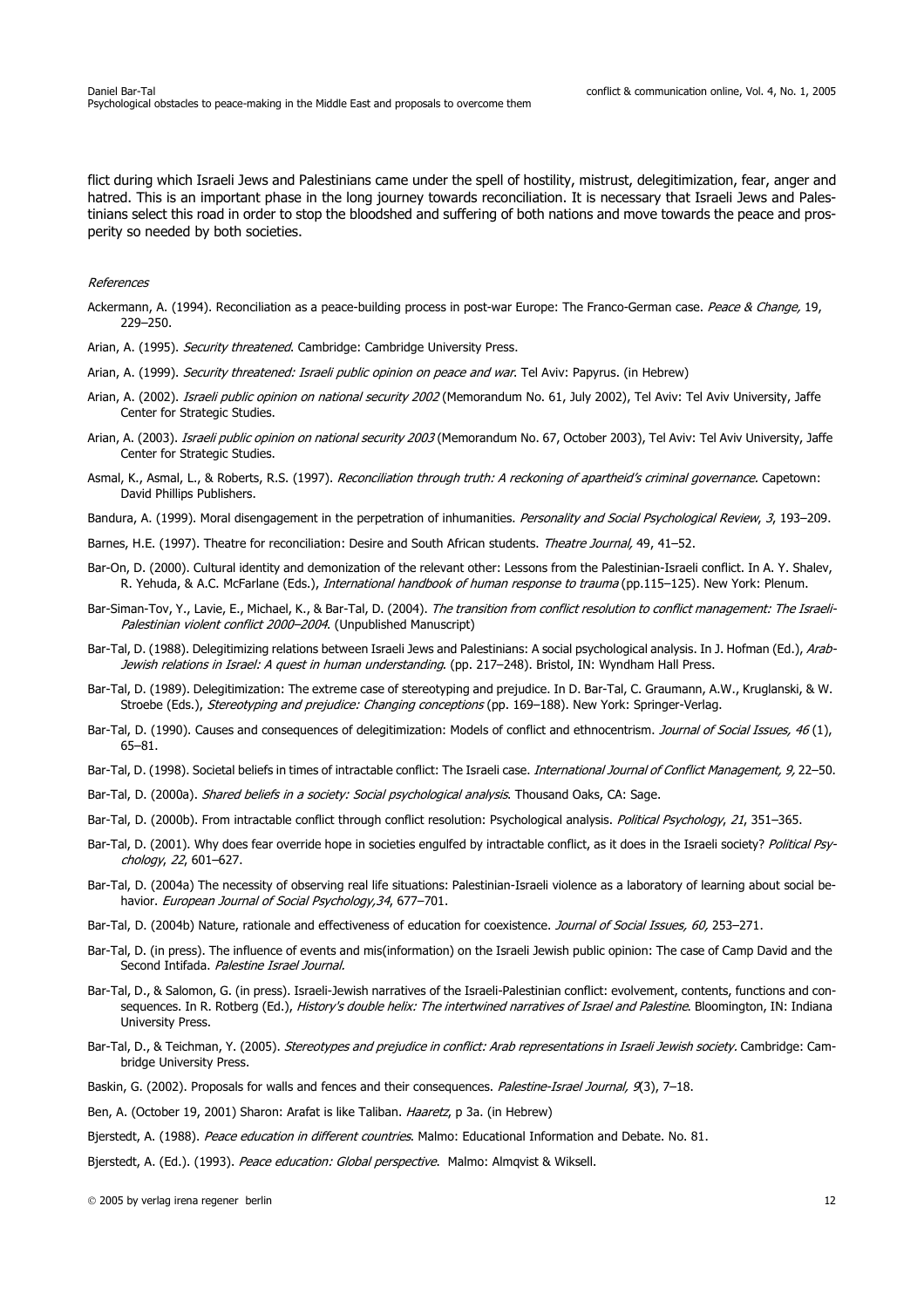flict during which Israeli Jews and Palestinians came under the spell of hostility, mistrust, delegitimization, fear, anger and hatred. This is an important phase in the long journey towards reconciliation. It is necessary that Israeli Jews and Palestinians select this road in order to stop the bloodshed and suffering of both nations and move towards the peace and prosperity so needed by both societies.

#### References

- Ackermann, A. (1994). Reconciliation as a peace-building process in post-war Europe: The Franco-German case. Peace & Change, 19, 229–250.
- Arian, A. (1995). Security threatened. Cambridge: Cambridge University Press.
- Arian, A. (1999). Security threatened: Israeli public opinion on peace and war. Tel Aviv: Papyrus. (in Hebrew)
- Arian, A. (2002). Israeli public opinion on national security 2002 (Memorandum No. 61, July 2002), Tel Aviv: Tel Aviv University, Jaffe Center for Strategic Studies.
- Arian, A. (2003). Israeli public opinion on national security 2003 (Memorandum No. 67, October 2003), Tel Aviv: Tel Aviv University, Jaffe Center for Strategic Studies.
- Asmal, K., Asmal, L., & Roberts, R.S. (1997). Reconciliation through truth: A reckoning of apartheid's criminal governance. Capetown: David Phillips Publishers.
- Bandura, A. (1999). Moral disengagement in the perpetration of inhumanities. Personality and Social Psychological Review, 3, 193-209.
- Barnes, H.E. (1997). Theatre for reconciliation: Desire and South African students. Theatre Journal, 49, 41-52.
- Bar-On, D. (2000). Cultural identity and demonization of the relevant other: Lessons from the Palestinian-Israeli conflict. In A. Y. Shalev, R. Yehuda, & A.C. McFarlane (Eds.), International handbook of human response to trauma (pp.115–125). New York: Plenum.
- Bar-Siman-Tov, Y., Lavie, E., Michael, K., & Bar-Tal, D. (2004). The transition from conflict resolution to conflict management: The Israeli-Palestinian violent conflict 2000–2004. (Unpublished Manuscript)
- Bar-Tal, D. (1988). Delegitimizing relations between Israeli Jews and Palestinians: A social psychological analysis. In J. Hofman (Ed.), Arab-Jewish relations in Israel: A quest in human understanding. (pp. 217-248). Bristol, IN: Wyndham Hall Press.
- Bar-Tal, D. (1989). Delegitimization: The extreme case of stereotyping and prejudice. In D. Bar-Tal, C. Graumann, A.W., Kruglanski, & W. Stroebe (Eds.), Stereotyping and prejudice: Changing conceptions (pp. 169-188). New York: Springer-Verlag.
- Bar-Tal, D. (1990). Causes and consequences of delegitimization: Models of conflict and ethnocentrism. Journal of Social Issues, 46 (1). 65–81.
- Bar-Tal, D. (1998). Societal beliefs in times of intractable conflict: The Israeli case. International Journal of Conflict Management, 9, 22-50.
- Bar-Tal, D. (2000a). Shared beliefs in a society: Social psychological analysis. Thousand Oaks, CA: Sage.
- Bar-Tal, D. (2000b). From intractable conflict through conflict resolution: Psychological analysis. Political Psychology, 21, 351–365.
- Bar-Tal, D. (2001). Why does fear override hope in societies engulfed by intractable conflict, as it does in the Israeli society? Political Psychology, 22, 601–627.
- Bar-Tal, D. (2004a) The necessity of observing real life situations: Palestinian-Israeli violence as a laboratory of learning about social behavior. European Journal of Social Psychology, 34, 677-701.
- Bar-Tal, D. (2004b) Nature, rationale and effectiveness of education for coexistence. Journal of Social Issues, 60, 253-271.
- Bar-Tal, D. (in press). The influence of events and mis(information) on the Israeli Jewish public opinion: The case of Camp David and the Second Intifada. Palestine Israel Journal.
- Bar-Tal, D., & Salomon, G. (in press). Israeli-Jewish narratives of the Israeli-Palestinian conflict: evolvement, contents, functions and consequences. In R. Rotberg (Ed.), History's double helix: The intertwined narratives of Israel and Palestine. Bloomington, IN: Indiana University Press.
- Bar-Tal, D., & Teichman, Y. (2005). Stereotypes and prejudice in conflict: Arab representations in Israeli Jewish society. Cambridge: Cambridge University Press.
- Baskin, G. (2002). Proposals for walls and fences and their consequences. Palestine-Israel Journal, 9(3), 7-18.
- Ben, A. (October 19, 2001) Sharon: Arafat is like Taliban. Haaretz, p 3a. (in Hebrew)
- Bjerstedt, A. (1988). Peace education in different countries. Malmo: Educational Information and Debate. No. 81.
- Bjerstedt, A. (Ed.). (1993). Peace education: Global perspective. Malmo: Almqvist & Wiksell.

2005 by verlag irena regener berlin 12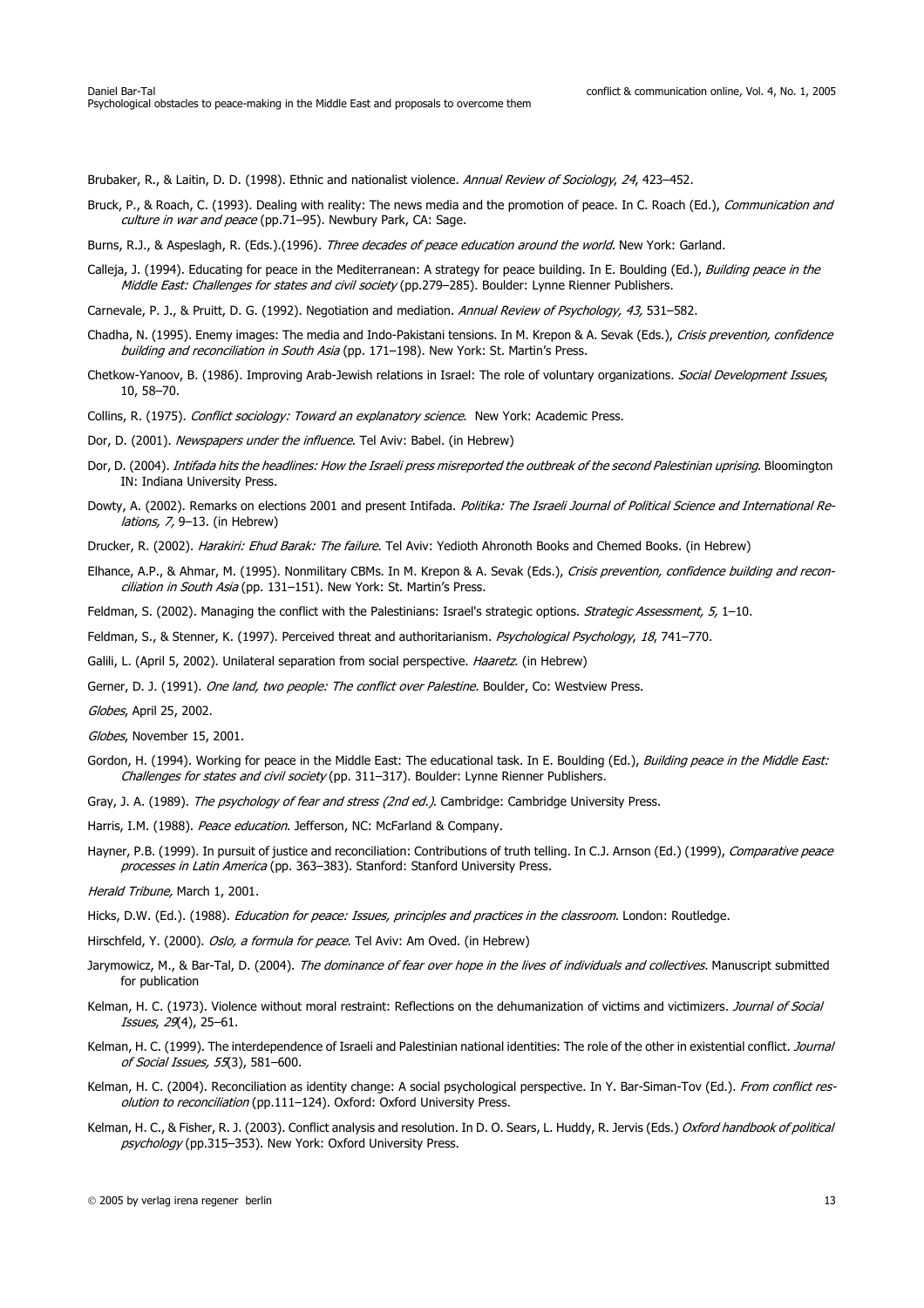Brubaker, R., & Laitin, D. D. (1998). Ethnic and nationalist violence. Annual Review of Sociology, 24, 423-452.

- Bruck, P., & Roach, C. (1993). Dealing with reality: The news media and the promotion of peace. In C. Roach (Ed.), Communication and culture in war and peace (pp.71-95). Newbury Park, CA: Sage.
- Burns, R.J., & Aspeslagh, R. (Eds.).(1996). Three decades of peace education around the world. New York: Garland.
- Calleja, J. (1994). Educating for peace in the Mediterranean: A strategy for peace building. In E. Boulding (Ed.), Building peace in the Middle East: Challenges for states and civil society (pp.279-285). Boulder: Lynne Rienner Publishers.
- Carnevale, P. J., & Pruitt, D. G. (1992). Negotiation and mediation. Annual Review of Psychology, 43, 531–582.
- Chadha, N. (1995). Enemy images: The media and Indo-Pakistani tensions. In M. Krepon & A. Sevak (Eds.), Crisis prevention, confidence building and reconciliation in South Asia (pp. 171-198). New York: St. Martin's Press.
- Chetkow-Yanoov, B. (1986). Improving Arab-Jewish relations in Israel: The role of voluntary organizations. Social Development Issues. 10, 58–70.
- Collins, R. (1975). Conflict sociology: Toward an explanatory science. New York: Academic Press.
- Dor, D. (2001). Newspapers under the influence. Tel Aviv: Babel. (in Hebrew)
- Dor, D. (2004). Intifada hits the headlines: How the Israeli press misreported the outbreak of the second Palestinian uprising. Bloomington IN: Indiana University Press.
- Dowty, A. (2002). Remarks on elections 2001 and present Intifada. Politika: The Israeli Journal of Political Science and International Relations, 7, 9–13. (in Hebrew)
- Drucker, R. (2002). Harakiri: Ehud Barak: The failure. Tel Aviv: Yedioth Ahronoth Books and Chemed Books. (in Hebrew)
- Elhance, A.P., & Ahmar, M. (1995). Nonmilitary CBMs. In M. Krepon & A. Sevak (Eds.), Crisis prevention, confidence building and reconciliation in South Asia (pp. 131-151). New York: St. Martin's Press.
- Feldman, S. (2002). Managing the conflict with the Palestinians: Israel's strategic options. Strategic Assessment, 5, 1-10.
- Feldman, S., & Stenner, K. (1997). Perceived threat and authoritarianism. Psychological Psychology, 18, 741–770.
- Galili, L. (April 5, 2002). Unilateral separation from social perspective. Haaretz. (in Hebrew)
- Gerner, D. J. (1991). One land, two people: The conflict over Palestine. Boulder, Co: Westview Press.

Globes, April 25, 2002.

- Globes, November 15, 2001.
- Gordon, H. (1994). Working for peace in the Middle East: The educational task. In E. Boulding (Ed.), Building peace in the Middle East: Challenges for states and civil society (pp. 311–317). Boulder: Lynne Rienner Publishers.
- Gray, J. A. (1989). The psychology of fear and stress (2nd ed.). Cambridge: Cambridge University Press.
- Harris, I.M. (1988). Peace education. Jefferson, NC: McFarland & Company.
- Hayner, P.B. (1999). In pursuit of justice and reconciliation: Contributions of truth telling. In C.J. Arnson (Ed.) (1999), Comparative peace processes in Latin America (pp. 363–383). Stanford: Stanford University Press.

Herald Tribune, March 1, 2001.

- Hicks, D.W. (Ed.). (1988). *Education for peace: Issues, principles and practices in the classroom*. London: Routledge.
- Hirschfeld, Y. (2000). Oslo, a formula for peace. Tel Aviv: Am Oved. (in Hebrew)
- Jarymowicz, M., & Bar-Tal, D. (2004). The dominance of fear over hope in the lives of individuals and collectives. Manuscript submitted for publication
- Kelman, H. C. (1973). Violence without moral restraint: Reflections on the dehumanization of victims and victimizers. Journal of Social Issues, 29(4), 25–61.
- Kelman, H. C. (1999). The interdependence of Israeli and Palestinian national identities: The role of the other in existential conflict. Journal of Social Issues, 55(3), 581–600.
- Kelman, H. C. (2004). Reconciliation as identity change: A social psychological perspective. In Y. Bar-Siman-Tov (Ed.). From conflict resolution to reconciliation (pp.111-124). Oxford: Oxford University Press.
- Kelman, H. C., & Fisher, R. J. (2003). Conflict analysis and resolution. In D. O. Sears, L. Huddy, R. Jervis (Eds.) Oxford handbook of political psychology (pp.315-353). New York: Oxford University Press.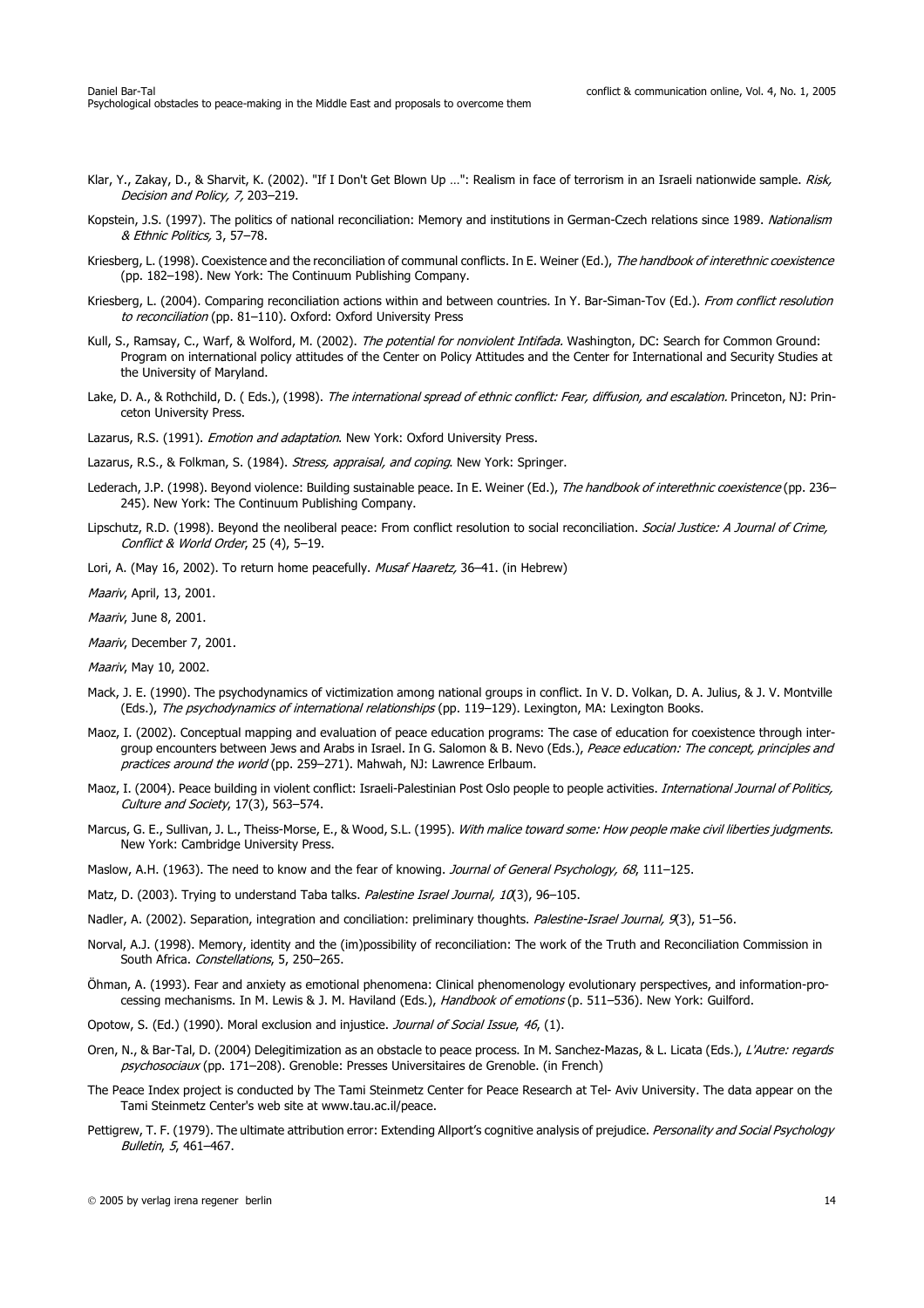- Klar, Y., Zakay, D., & Sharvit, K. (2002). "If I Don't Get Blown Up ...": Realism in face of terrorism in an Israeli nationwide sample. Risk, Decision and Policy, 7, 203–219.
- Kopstein, J.S. (1997). The politics of national reconciliation: Memory and institutions in German-Czech relations since 1989. Nationalism & Ethnic Politics, 3, 57–78.
- Kriesberg, L. (1998). Coexistence and the reconciliation of communal conflicts. In E. Weiner (Ed.), The handbook of interethnic coexistence (pp. 182–198). New York: The Continuum Publishing Company.
- Kriesberg, L. (2004). Comparing reconciliation actions within and between countries. In Y. Bar-Siman-Tov (Ed.). From conflict resolution to reconciliation (pp. 81-110). Oxford: Oxford University Press
- Kull, S., Ramsay, C., Warf, & Wolford, M. (2002). The potential for nonviolent Intifada. Washington, DC: Search for Common Ground: Program on international policy attitudes of the Center on Policy Attitudes and the Center for International and Security Studies at the University of Maryland.
- Lake, D. A., & Rothchild, D. (Eds.), (1998). The international spread of ethnic conflict: Fear, diffusion, and escalation. Princeton, NJ: Princeton University Press.

Lazarus, R.S. (1991). Emotion and adaptation. New York: Oxford University Press.

Lazarus, R.S., & Folkman, S. (1984). Stress, appraisal, and coping. New York: Springer.

- Lederach, J.P. (1998). Beyond violence: Building sustainable peace. In E. Weiner (Ed.), The handbook of interethnic coexistence (pp. 236– 245). New York: The Continuum Publishing Company.
- Lipschutz, R.D. (1998). Beyond the neoliberal peace: From conflict resolution to social reconciliation. Social Justice: A Journal of Crime, Conflict & World Order, 25 (4), 5–19.
- Lori, A. (May 16, 2002). To return home peacefully. Musaf Haaretz, 36-41. (in Hebrew)

Maariv, April, 13, 2001.

Maariv, June 8, 2001.

Maariv, December 7, 2001.

Maariv, May 10, 2002.

- Mack, J. E. (1990). The psychodynamics of victimization among national groups in conflict. In V. D. Volkan, D. A. Julius, & J. V. Montville (Eds.), The psychodynamics of international relationships (pp. 119-129). Lexington, MA: Lexington Books.
- Maoz, I. (2002). Conceptual mapping and evaluation of peace education programs: The case of education for coexistence through intergroup encounters between Jews and Arabs in Israel. In G. Salomon & B. Nevo (Eds.), Peace education: The concept, principles and practices around the world (pp. 259–271). Mahwah, NJ: Lawrence Erlbaum.
- Maoz, I. (2004). Peace building in violent conflict: Israeli-Palestinian Post Oslo people to people activities. International Journal of Politics, Culture and Society, 17(3), 563–574.
- Marcus, G. E., Sullivan, J. L., Theiss-Morse, E., & Wood, S.L. (1995). With malice toward some: How people make civil liberties judgments. New York: Cambridge University Press.
- Maslow, A.H. (1963). The need to know and the fear of knowing. Journal of General Psychology, 68, 111–125.
- Matz, D. (2003). Trying to understand Taba talks. Palestine Israel Journal, 10(3), 96-105.
- Nadler, A. (2002). Separation, integration and conciliation: preliminary thoughts. Palestine-Israel Journal, 9(3), 51-56.
- Norval, A.J. (1998). Memory, identity and the (im)possibility of reconciliation: The work of the Truth and Reconciliation Commission in South Africa. Constellations, 5, 250–265.
- Öhman, A. (1993). Fear and anxiety as emotional phenomena: Clinical phenomenology evolutionary perspectives, and information-processing mechanisms. In M. Lewis & J. M. Haviland (Eds.), Handbook of emotions (p. 511-536). New York: Guilford.
- Opotow, S. (Ed.) (1990). Moral exclusion and injustice. Journal of Social Issue, 46, (1).
- Oren, N., & Bar-Tal, D. (2004) Delegitimization as an obstacle to peace process. In M. Sanchez-Mazas, & L. Licata (Eds.), L'Autre: regards psychosociaux (pp. 171-208). Grenoble: Presses Universitaires de Grenoble. (in French)
- The Peace Index project is conducted by The Tami Steinmetz Center for Peace Research at Tel- Aviv University. The data appear on the Tami Steinmetz Center's web site at www.tau.ac.il/peace.
- Pettigrew, T. F. (1979). The ultimate attribution error: Extending Allport's cognitive analysis of prejudice. Personality and Social Psychology Bulletin, 5, 461–467.